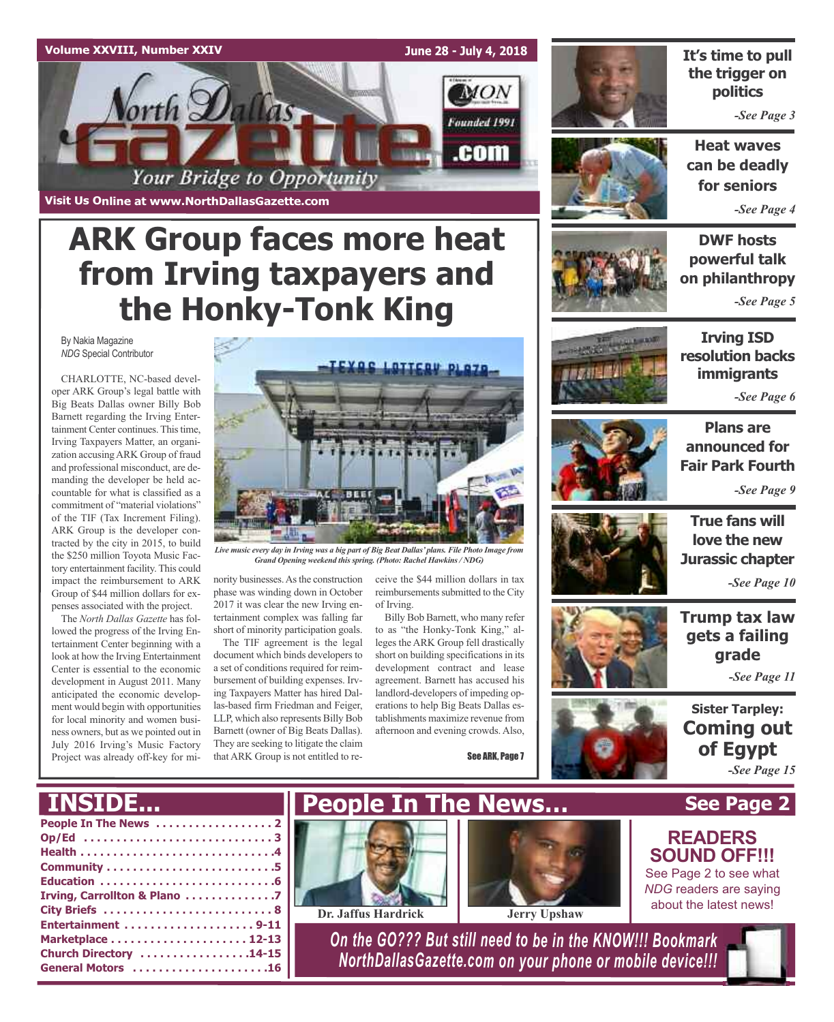

## **ARK Group faces more heat from Irving taxpayers and the Honky-Tonk King**

By Nakia Magazine *NDG* Special Contributor

CHARLOTTE, NC-based developer ARK Group's legal battle with Big Beats Dallas owner Billy Bob Barnett regarding the Irving Entertainment Center continues. This time, Irving Taxpayers Matter, an organization accusingARK Group of fraud and professional misconduct, are demanding the developer be held accountable for what is classified as a commitment of "material violations" of the TIF (Tax Increment Filing). ARK Group is the developer contracted by the city in 2015, to build the \$250 million Toyota Music Factory entertainment facility. This could impact the reimbursement to ARK Group of \$44 million dollars for expenses associated with the project.

The *North Dallas Gazette* has followed the progress of the Irving Entertainment Center beginning with a look at how the Irving Entertainment Center is essential to the economic development in August 2011. Many anticipated the economic development would begin with opportunities for local minority and women business owners, but as we pointed out in July 2016 Irving's Music Factory Project was already off-key for mi-



Live music every day in Irving was a big part of Big Beat Dallas' plans. File Photo Image from *Grand Opening weekend this spring. (Photo: Rachel Hawkins / NDG)*

nority businesses.Asthe construction phase was winding down in October 2017 it was clear the new Irving entertainment complex was falling far short of minority participation goals.

The TIF agreement is the legal document which binds developers to a set of conditions required for reimbursement of building expenses. Irving Taxpayers Matter has hired Dallas-based firm Friedman and Feiger, LLP, which also represents Billy Bob Barnett (owner of Big Beats Dallas). They are seeking to litigate the claim that ARK Group is not entitled to receive the \$44 million dollars in tax reimbursements submitted to the City of Irving.

Billy Bob Barnett, who many refer to as "the Honky-Tonk King," alleges the ARK Group fell drastically short on building specifications in its development contract and lease agreement. Barnett has accused his landlord-developers of impeding operations to help Big Beats Dallas establishments maximize revenue from afternoon and evening crowds. Also,

See ARK, Page 7



### **It's time to pull the trigger on politics**

*-See Page 3*

**Heat waves can be deadly**

**for seniors** *-See Page 4*

**DWF hosts powerful talk on philanthropy** *-See Page 5*



**Irving ISD resolution backs immigrants**

*-See Page 6*



**Plans are announced for Fair Park Fourth**

*-See Page 9*



**True fans will love the new Jurassic chapter**

*-See Page 10*

**Trump tax law gets a failing grade**



**See Page 2**

**READERS SOUND OFF!!!** See Page 2 to see what *NDG* readers are saying about the latest news!

*-See Page 15*

## **INSIDE...**

| Irving, Carrollton & Plano 7 |
|------------------------------|
|                              |
|                              |
|                              |
| Church Directory 14-15       |
| General Motors 16            |



**Dr. Jaffus Hardrick Jerry Upshaw**



*On the GO??? But still need to be in the KNOW!!! Bookmark NorthDallasGazette.com on your phone or mobile device!!!*

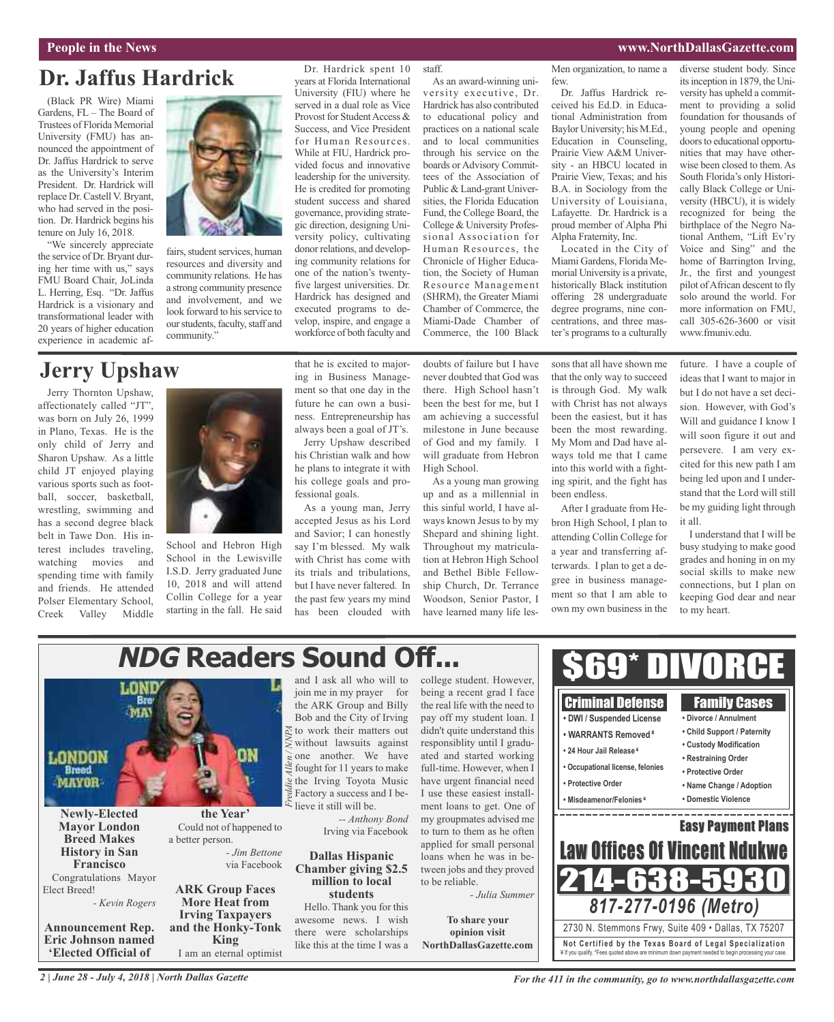## **Dr. Jaffus Hardrick**

(Black PR Wire) Miami Gardens, FL – The Board of Trustees of Florida Memorial University (FMU) has announced the appointment of Dr. Jaffus Hardrick to serve as the University's Interim President. Dr. Hardrick will replace Dr. Castell V. Bryant, who had served in the position. Dr. Hardrick begins his tenure on July 16, 2018.

"We sincerely appreciate the service of Dr. Bryant during her time with us," says FMU Board Chair, JoLinda L. Herring, Esq. "Dr. Jaffus Hardrick is a visionary and transformational leader with 20 years of higher education experience in academic af-



fairs, student services, human resources and diversity and community relations. He has a strong community presence and involvement, and we look forward to his service to our students, faculty, staff and community."

## **Jerry Upshaw**

Jerry Thornton Upshaw, affectionately called "JT", was born on July 26, 1999 in Plano, Texas. He is the only child of Jerry and Sharon Upshaw. As a little child JT enjoyed playing various sports such as football, soccer, basketball, wrestling, swimming and has a second degree black belt in Tawe Don. His interest includes traveling, watching movies and spending time with family and friends. He attended Polser Elementary School, Creek Valley Middle



School and Hebron High School in the Lewisville I.S.D. Jerry graduated June 10, 2018 and will attend Collin College for a year starting in the fall. He said

that he is excited to majoring in Business Management so that one day in the future he can own a business. Entrepreneurship has always been a goal of JT's.

Dr. Hardrick spent 10 years at Florida International University (FIU) where he served in a dual role as Vice Provost for Student Access & Success, and Vice President for Human Resources. While at FIU, Hardrick provided focus and innovative leadership for the university. He is credited for promoting student success and shared governance, providing strategic direction, designing University policy, cultivating donor relations, and developing community relations for one of the nation's twentyfive largest universities. Dr. Hardrick has designed and executed programs to develop, inspire, and engage a workforce of both faculty and

staff.

As an award-winning university executive, Dr. Hardrick has also contributed to educational policy and practices on a national scale and to local communities through his service on the boards or Advisory Committees of the Association of Public & Land-grant Universities, the Florida Education Fund, the College Board, the College & University Professional Association for Human Resources, the Chronicle of Higher Education, the Society of Human Resource Management (SHRM), the Greater Miami Chamber of Commerce, the Miami-Dade Chamber of Commerce, the 100 Black

Jerry Upshaw described his Christian walk and how he plans to integrate it with his college goals and professional goals.

As a young man, Jerry accepted Jesus as his Lord and Savior; I can honestly say I'm blessed. My walk with Christ has come with its trials and tribulations, but I have never faltered. In the past few years my mind has been clouded with doubts of failure but I have never doubted that God was there. High School hasn't been the best for me, but I am achieving a successful milestone in June because of God and my family. I will graduate from Hebron High School.

As a young man growing up and as a millennial in this sinful world, I have always known Jesus to by my Shepard and shining light. Throughout my matriculation at Hebron High School and Bethel Bible Fellowship Church, Dr. Terrance Woodson, Senior Pastor, I have learned many life lesMen organization, to name a few.

Dr. Jaffus Hardrick received his Ed.D. in Educational Administration from Baylor University; his M.Ed., Education in Counseling, Prairie View A&M University - an HBCU located in Prairie View, Texas; and his B.A. in Sociology from the University of Louisiana, Lafayette. Dr. Hardrick is a proud member of Alpha Phi Alpha Fraternity, Inc.

Located in the City of Miami Gardens, Florida Memorial University is a private, historically Black institution offering 28 undergraduate degree programs, nine concentrations, and three master's programs to a culturally

diverse student body. Since its inception in 1879, the University has upheld a commitment to providing a solid foundation for thousands of young people and opening doors to educational opportunities that may have otherwise been closed to them.As South Florida's only Historically Black College or University (HBCU), it is widely recognized for being the birthplace of the Negro National Anthem, "Lift Ev'ry Voice and Sing" and the home of Barrington Irving, Jr., the first and youngest pilot ofAfrican descent to fly solo around the world. For more information on FMU, call 305-626-3600 or visit www.fmuniv.edu.

sons that all have shown me that the only way to succeed is through God. My walk with Christ has not always been the easiest, but it has been the most rewarding. My Mom and Dad have always told me that I came into this world with a fighting spirit, and the fight has been endless. After I graduate from Hefuture. I have a couple of

bron High School, I plan to attending Collin College for a year and transferring afterwards. I plan to get a degree in business management so that I am able to own my own business in the

ideas that I want to major in but I do not have a set decision. However, with God's Will and guidance I know I will soon figure it out and persevere. I am very excited for this new path I am being led upon and I understand that the Lord will still be my guiding light through it all.

I understand that I will be busy studying to make good grades and honing in on my social skills to make new connections, but I plan on keeping God dear and near to my heart.

## **NDG Readers Sound Off...**

*Freddie Allen / NNPA*



**Mayor London Breed Makes History in San Francisco** Congratulations Mayor Elect Breed!

*- Kevin Rogers*

**Announcement Rep. Eric Johnson named 'Elected Official of**

Could not of happened to a better person. *- Jim Bettone*

via Facebook

**ARK Group Faces More Heat from Irving Taxpayers and the Honky-Tonk King** I am an eternal optimist

and I ask all who will to join me in my prayer for the ARK Group and Billy Bob and the City of Irving  $\mathbb{\Sigma}$  to work their matters out without lawsuits against one another. We have fought for 11 years to make the Irving Toyota Music Factory a success and I believe it still will be.

> *-- Anthony Bond* Irving via Facebook

### **Dallas Hispanic Chamber giving \$2.5 million to local**

**students**

Hello. Thank you for this awesome news. I wish there were scholarships like this at the time I was a

college student. However, being a recent grad I face the real life with the need to pay off my student loan. I didn't quite understand this responsiblity until I graduated and started working full-time. However, when I have urgent financial need I use these easiest installment loans to get. One of my groupmates advised me to turn to them as he often applied for small personal loans when he was in between jobs and they proved to be reliable.

*- Julia Summer*

**To share your opinion visit NorthDallasGazette.com**

\$69\* DIVORCE Criminal Defense Family Cases **• DWI / Suspended License • Divorce / Annulment • Child Support / Paternity • WARRANTS Removed ¥ • Custody Modification • 24 Hour Jail Release ¥ • Restraining Order • Occupational license, felonies • Protective Order • Protective Order • Name Change / Adoption • Misdeamenor/Felonies ¥ • Domestic Violence** . <u>. . . . . . . . . . . . . . . .</u> Easy Payment Plans **Law Offices Of Vincent Ndul** 14-63 *817-277-0196 (Metro)* 2730 N. Stemmons Frwy, Suite 409 • Dallas, TX 75207 **Not Ce rtified by the Te x a s Boa rd of Lega l Spe c ia l i za tion** ¥ If you qualify. \*Fees quoted above are minimum down payment needed to begin processing your case.

*2 | June 28 - July 4, 2018 | North Dallas Gazette*

*For the 411 in the community, go to www.northdallasgazette.com*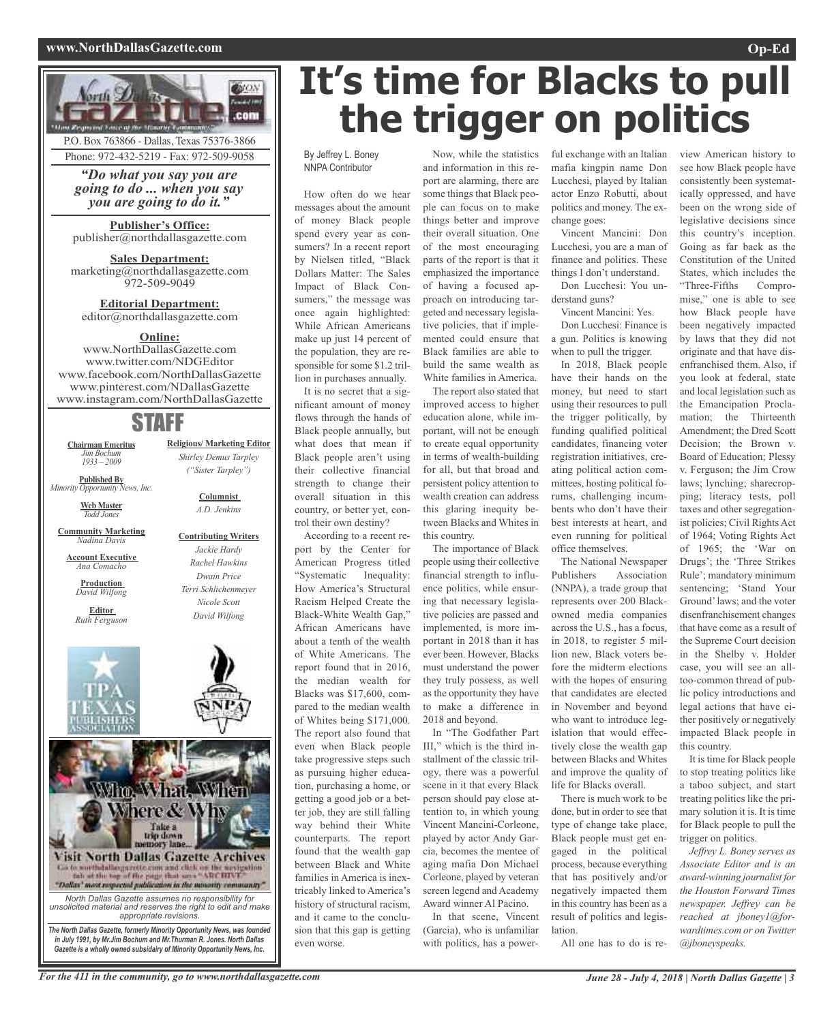### **www.NorthDallasGazette.com Op-Ed**



Phone: 972-432-5219 - Fax: 972-509-9058

*"Do what you say you are going to do ... when you say you are going to do it."*

**Publisher's Office:** publisher@northdallasgazette.com

**Sales Department:** marketing@northdallasgazette.com 972-509-9049

**Editorial Department:** editor@northdallasgazette.com

### **Online:**

www.NorthDallasGazette.com www.twitter.com/NDGEditor www.facebook.com/NorthDallasGazette www.pinterest.com/NDallasGazette www.instagram.com/NorthDallasGazette

## STAFF

**Religious/ Marketing Editor** *Shirley Demus Tarpley ("Sister Tarpley")*

> **Columnist** *A.D. Jenkins*

**Contributing Writers** *Jackie Hardy Rachel Hawkins Dwain Price Terri Schlichenmeyer Nicole Scott David Wilfong*

**Chairman Emeritus** *Jim Bochum 1933 – 2009*

**Published By** *Minority Opportunity News, Inc.*

> **Web Master** *Todd Jones*

**Community Marketing** *Nadina Davis*

**Account Executive** *Ana Comacho*

**Production** *David Wilfong*

**Editor** *Ruth Ferguson*



Wim, What, Wilen Mhere & Why **Visit North Dallas Gazette Archives** Go to worth dalloogarette cam and click on the westpation<br>fab at the top of the page that same "ARCHIVE"<br>"Dallay" meet respected publication in the minority community" *North Dallas Gazette assumes no responsibility for unsolicited material and reserves the right to edit and make appropriate revisions.*

*The North Dallas Gazette, formerly Minority Opportunity News, was founded in July 1991, by Mr.Jim Bochum and Mr.Thurman R. Jones. North Dallas Gazette is a wholly owned subsidairy of Minority Opportunity News, Inc.*

## **It's time for Blacks to pull the trigger on politics**

By Jeffrey L. Boney NNPA Contributor

How often do we hear messages about the amount of money Black people spend every year as consumers? In a recent report by Nielsen titled, "Black Dollars Matter: The Sales Impact of Black Consumers," the message was once again highlighted: While African Americans make up just 14 percent of the population, they are responsible for some \$1.2 trillion in purchases annually.

It is no secret that a significant amount of money flows through the hands of Black people annually, but what does that mean if Black people aren't using their collective financial strength to change their overall situation in this country, or better yet, control their own destiny? According to a recent re-

port by the Center for American Progress titled "Systematic Inequality: How America's Structural Racism Helped Create the Black-White Wealth Gap," African Americans have about a tenth of the wealth of White Americans. The report found that in 2016, the median wealth for Blacks was \$17,600, compared to the median wealth of Whites being \$171,000. The report also found that even when Black people take progressive steps such as pursuing higher education, purchasing a home, or getting a good job or a better job, they are still falling way behind their White counterparts. The report found that the wealth gap between Black and White families in America is inextricably linked to America's history of structural racism, and it came to the conclusion that this gap is getting even worse.

Now, while the statistics and information in this report are alarming, there are some things that Black people can focus on to make things better and improve their overall situation. One of the most encouraging parts of the report is that it emphasized the importance of having a focused approach on introducing targeted and necessary legislative policies, that if implemented could ensure that Black families are able to build the same wealth as White families in America.

The report also stated that improved access to higher education alone, while important, will not be enough to create equal opportunity in terms of wealth-building for all, but that broad and persistent policy attention to wealth creation can address this glaring inequity between Blacks and Whites in this country.

The importance of Black people using their collective financial strength to influence politics, while ensuring that necessary legislative policies are passed and implemented, is more important in 2018 than it has ever been. However, Blacks must understand the power they truly possess, as well as the opportunity they have to make a difference in 2018 and beyond.

In "The Godfather Part III," which is the third installment of the classic trilogy, there was a powerful scene in it that every Black person should pay close attention to, in which young Vincent Mancini-Corleone, played by actor Andy Garcia, becomes the mentee of aging mafia Don Michael Corleone, played by veteran screen legend and Academy Award winner Al Pacino.

In that scene, Vincent (Garcia), who is unfamiliar with politics, has a powerful exchange with an Italian mafia kingpin name Don Lucchesi, played by Italian actor Enzo Robutti, about politics and money. The exchange goes:

Vincent Mancini: Don Lucchesi, you are a man of finance and politics. These things I don't understand.

Don Lucchesi: You understand guns? Vincent Mancini: Yes.

Don Lucchesi: Finance is a gun. Politics is knowing when to pull the trigger.

In 2018, Black people have their hands on the money, but need to start using their resources to pull the trigger politically, by funding qualified political candidates, financing voter registration initiatives, creating political action committees, hosting political forums, challenging incumbents who don't have their best interests at heart, and even running for political office themselves.

The National Newspaper Publishers Association (NNPA), a trade group that represents over 200 Blackowned media companies across the U.S., has a focus, in 2018, to register 5 million new, Black voters before the midterm elections with the hopes of ensuring that candidates are elected in November and beyond who want to introduce legislation that would effectively close the wealth gap between Blacks and Whites and improve the quality of life for Blacks overall.

There is much work to be done, but in order to see that type of change take place, Black people must get engaged in the political process, because everything that has positively and/or negatively impacted them in this country has been as a result of politics and legislation.

view American history to see how Black people have consistently been systematically oppressed, and have been on the wrong side of legislative decisions since this country's inception. Going as far back as the Constitution of the United States, which includes the "Three-Fifths Compromise," one is able to see how Black people have been negatively impacted by laws that they did not originate and that have disenfranchised them. Also, if you look at federal, state and local legislation such as the Emancipation Proclamation; the Thirteenth Amendment; the Dred Scott Decision; the Brown v. Board of Education; Plessy v. Ferguson; the Jim Crow laws; lynching; sharecropping; literacy tests, poll taxes and other segregationist policies; Civil Rights Act of 1964; Voting Rights Act of 1965; the 'War on Drugs'; the 'Three Strikes Rule'; mandatory minimum sentencing; 'Stand Your Ground'laws; and the voter disenfranchisement changes that have come as a result of the Supreme Court decision in the Shelby v. Holder case, you will see an alltoo-common thread of public policy introductions and legal actions that have either positively or negatively impacted Black people in this country.

It is time for Black people to stop treating politics like a taboo subject, and start treating politics like the primary solution it is. It is time for Black people to pull the trigger on politics.

*Jeffrey L. Boney serves as Associate Editor and is an award-winning journalist for the Houston Forward Times newspaper. Jeffrey can be reached at jboney1@forwardtimes.com or on Twitter @jboneyspeaks.*

All one has to do is re-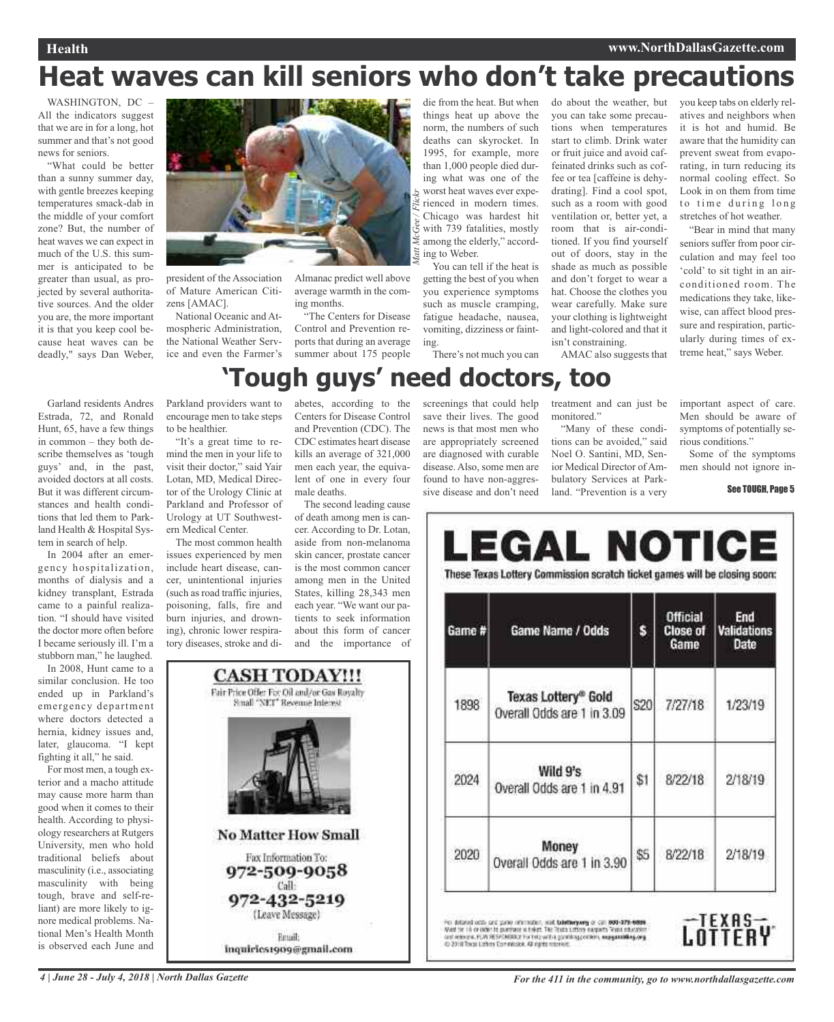### **Health www.NorthDallasGazette.com**

## **Heat waves can kill seniors who don't take precautions**

*Matt McGee / Flickr*

WASHINGTON, DC – All the indicators suggest that we are in for a long, hot summer and that's not good news for seniors.

"What could be better than a sunny summer day, with gentle breezes keeping temperatures smack-dab in the middle of your comfort zone? But, the number of heat waves we can expect in much of the U.S. this summer is anticipated to be greater than usual, as projected by several authoritative sources. And the older you are, the more important it is that you keep cool because heat waves can be deadly," says Dan Weber,



president of the Association of Mature American Citizens [AMAC].

National Oceanic and Atmospheric Administration, the National Weather Service and even the Farmer's Almanac predict well above average warmth in the coming months.

"The Centers for Disease Control and Prevention reports that during an average summer about 175 people

die from the heat. But when things heat up above the norm, the numbers of such deaths can skyrocket. In 1995, for example, more than 1,000 people died during what was one of the worst heat waves ever experienced in modern times. Chicago was hardest hit with 739 fatalities, mostly among the elderly," according to Weber.

You can tell if the heat is getting the best of you when you experience symptoms such as muscle cramping, fatigue headache, nausea, vomiting, dizziness or fainting.

There's not much you can

do about the weather, but you can take some precautions when temperatures start to climb. Drink water or fruit juice and avoid caffeinated drinks such as coffee or tea [caffeine is dehydrating]. Find a cool spot, such as a room with good ventilation or, better yet, a room that is air-conditioned. If you find yourself out of doors, stay in the shade as much as possible and don't forget to wear a hat. Choose the clothes you wear carefully. Make sure your clothing is lightweight and light-colored and that it isn't constraining.

you keep tabs on elderly relatives and neighbors when it is hot and humid. Be aware that the humidity can prevent sweat from evaporating, in turn reducing its normal cooling effect. So Look in on them from time to time during long stretches of hot weather.

"Bear in mind that many seniors suffer from poor circulation and may feel too 'cold' to sit tight in an airconditioned room. The medications they take, likewise, can affect blood pressure and respiration, particularly during times of extreme heat," says Weber.

AMAC also suggests that

## **'Tough guys' need doctors, too**

Garland residents Andres Estrada, 72, and Ronald Hunt, 65, have a few things in common – they both describe themselves as 'tough guys' and, in the past, avoided doctors at all costs. But it was different circumstances and health conditions that led them to Parkland Health & Hospital System in search of help.

In 2004 after an emergency hospitalization, months of dialysis and a kidney transplant, Estrada came to a painful realization. "I should have visited the doctor more often before I became seriously ill. I'm a stubborn man," he laughed.

In 2008, Hunt came to a similar conclusion. He too ended up in Parkland's emergency department where doctors detected a hernia, kidney issues and, later, glaucoma. "I kept fighting it all," he said.

For most men, a tough exterior and a macho attitude may cause more harm than good when it comes to their health. According to physiology researchers at Rutgers University, men who hold traditional beliefs about masculinity (i.e., associating masculinity with being tough, brave and self-reliant) are more likely to ignore medical problems. National Men's Health Month is observed each June and

Parkland providers want to encourage men to take steps to be healthier.

"It's a great time to remind the men in your life to visit their doctor," said Yair Lotan, MD, Medical Director of the Urology Clinic at Parkland and Professor of Urology at UT Southwestern Medical Center.

The most common health issues experienced by men include heart disease, cancer, unintentional injuries (such as road traffic injuries, poisoning, falls, fire and burn injuries, and drowning), chronic lower respiratory diseases, stroke and diabetes, according to the Centers for Disease Control and Prevention (CDC). The CDC estimates heart disease kills an average of 321,000 men each year, the equivalent of one in every four male deaths.

The second leading cause of death among men is cancer. According to Dr. Lotan, aside from non-melanoma skin cancer, prostate cancer is the most common cancer among men in the United States, killing 28,343 men each year. "We want our patients to seek information about this form of cancer and the importance of



screenings that could help save their lives. The good news is that most men who are appropriately screened are diagnosed with curable disease. Also, some men are found to have non-aggressive disease and don't need treatment and can just be monitored."

"Many of these conditions can be avoided," said Noel O. Santini, MD, Senior Medical Director of Ambulatory Services at Parkland. "Prevention is a very

important aspect of care. Men should be aware of symptoms of potentially serious conditions."

Some of the symptoms men should not ignore in-

See TOUGH, Page 5

| Game # | Game Name / Odds                                  | s   | <b>Official</b><br><b>Close of</b><br>Game | End<br><b>Validations</b><br>Date |
|--------|---------------------------------------------------|-----|--------------------------------------------|-----------------------------------|
| 1898   | Texas Lottery® Gold<br>Overall Odds are 1 in 3.09 | S20 | 7/27/18                                    | 1/23/19                           |
| 2024   | Wild 9's<br>Overall Odds are 1 in 4.91            | \$1 | 8/22/18                                    | 2/18/19                           |
| 2020   | Money<br>Overall Odds are 1 in 3.90               | \$5 | 8/22/18                                    | 2/18/19                           |

4 June 28 - July 4, 2018 | North Dallas Gazette State State of Two For the 411 in the community, go to www.northdallasgazette.com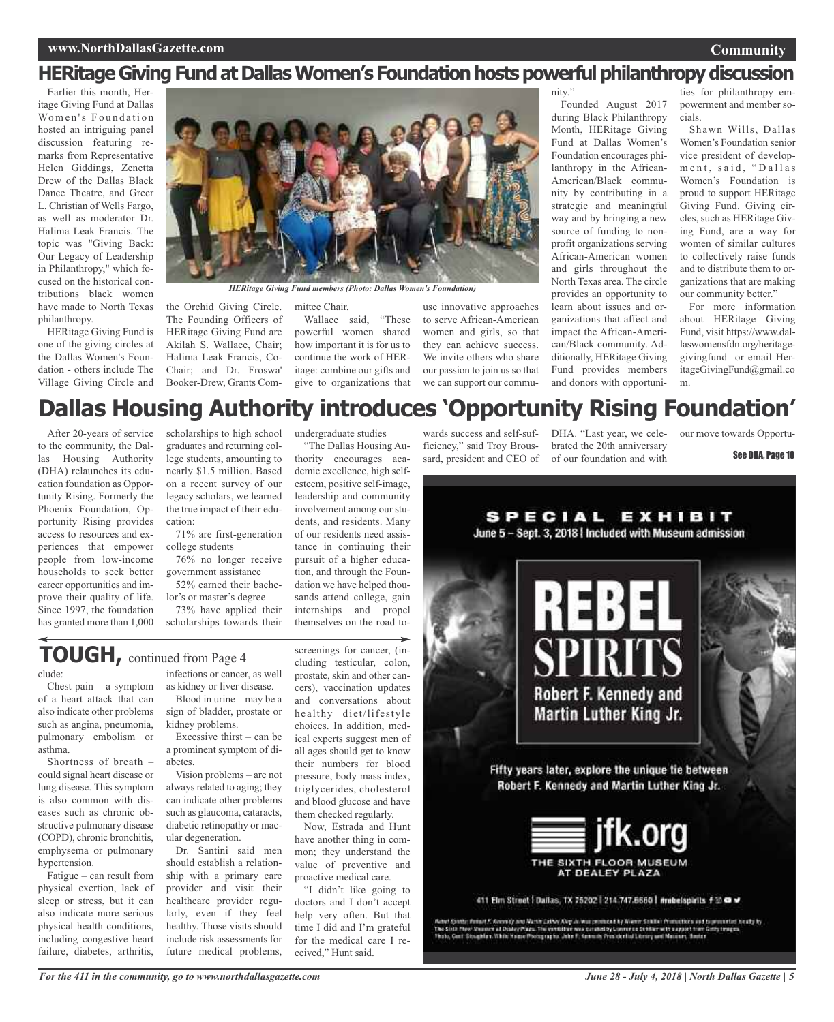### **www.NorthDallasGazette.com**

### **Community**

## **HERitage Giving Fund at Dallas Women's Foundation hosts powerful philanthropy discussion**

Earlier this month, Heritage Giving Fund at Dallas Women's Foundation hosted an intriguing panel discussion featuring remarks from Representative Helen Giddings, Zenetta Drew of the Dallas Black Dance Theatre, and Greer L. Christian of Wells Fargo, as well as moderator Dr. Halima Leak Francis. The topic was "Giving Back: Our Legacy of Leadership in Philanthropy," which focused on the historical contributions black women have made to North Texas philanthropy.

HERitage Giving Fund is one of the giving circles at the Dallas Women's Foundation - others include The Village Giving Circle and

the Orchid Giving Circle. The Founding Officers of HERitage Giving Fund are Akilah S. Wallace, Chair; Halima Leak Francis, Co-Chair; and Dr. Froswa' Booker-Drew, Grants Committee Chair. *HERitage Giving Fund members (Photo: Dallas Women's Foundation)*

Wallace said, "These powerful women shared how important it is for us to continue the work of HERitage: combine our gifts and give to organizations that use innovative approaches to serve African-American women and girls, so that they can achieve success. We invite others who share our passion to join us so that we can support our community." Founded August 2017 during Black Philanthropy Month, HERitage Giving Fund at Dallas Women's Foundation encourages philanthropy in the African-American/Black community by contributing in a strategic and meaningful way and by bringing a new source of funding to nonprofit organizations serving African-American women and girls throughout the North Texas area. The circle provides an opportunity to learn about issues and organizations that affect and impact the African-American/Black community. Additionally, HERitage Giving Fund provides members and donors with opportuni-

ties for philanthropy empowerment and member socials.

Shawn Wills, Dallas Women's Foundation senior vice president of development, said, "Dallas Women's Foundation is proud to support HERitage Giving Fund. Giving circles, such as HERitage Giving Fund, are a way for women of similar cultures to collectively raise funds and to distribute them to organizations that are making our community better."

For more information about HERitage Giving Fund, visit https://www.dallaswomensfdn.org/heritagegivingfund or email HeritageGivingFund@gmail.co m.

## **Dallas Housing Authority introduces 'Opportunity Rising Foundation'**

After 20-years of service to the community, the Dallas Housing Authority (DHA) relaunches its education foundation as Opportunity Rising. Formerly the Phoenix Foundation, Opportunity Rising provides access to resources and experiences that empower people from low-income households to seek better career opportunities and improve their quality of life. Since 1997, the foundation has granted more than 1,000

scholarships to high school graduates and returning college students, amounting to nearly \$1.5 million. Based on a recent survey of our legacy scholars, we learned the true impact of their education:

71% are first-generation college students

76% no longer receive government assistance

52% earned their bachelor's or master's degree

73% have applied their scholarships towards their undergraduate studies

"The Dallas Housing Authority encourages academic excellence, high selfesteem, positive self-image, leadership and community involvement among our students, and residents. Many of our residents need assistance in continuing their pursuit of a higher education, and through the Foundation we have helped thousands attend college, gain internships and propel themselves on the road toficiency," said Troy Brous-

wards success and self-suf- DHA. "Last year, we cele- our move towards Opportusard, president and CEO of of our foundation and with brated the 20th anniversary

See DHA, Page 10



ficted Sattle: fisient F. Genrely and Mathi Labor Alep Avenue promost by Wener Sattle: Promotions and tearrested boully by<br>The Sixth Place Museum at Dealey Place. The earthfule was carabelizy Lummerce Schiller with august

## **TOUGH,** continued from Page <sup>4</sup>

### clude:

Chest pain  $-$  a symptom of a heart attack that can also indicate other problems such as angina, pneumonia, pulmonary embolism or asthma.

Shortness of breath – could signal heart disease or lung disease. This symptom is also common with diseases such as chronic obstructive pulmonary disease (COPD), chronic bronchitis, emphysema or pulmonary hypertension.

Fatigue – can result from physical exertion, lack of sleep or stress, but it can also indicate more serious physical health conditions, including congestive heart failure, diabetes, arthritis, infections or cancer, as well

as kidney or liver disease. Blood in urine – may be a

sign of bladder, prostate or kidney problems. Excessive thirst – can be

a prominent symptom of diabetes.

Vision problems – are not always related to aging; they can indicate other problems such as glaucoma, cataracts, diabetic retinopathy or macular degeneration.

Dr. Santini said men should establish a relationship with a primary care provider and visit their healthcare provider regularly, even if they feel healthy. Those visits should include risk assessments for future medical problems,

screenings for cancer, (including testicular, colon, prostate, skin and other cancers), vaccination updates and conversations about healthy diet/lifestyle choices. In addition, medical experts suggest men of all ages should get to know their numbers for blood pressure, body mass index, triglycerides, cholesterol and blood glucose and have them checked regularly.

Now, Estrada and Hunt have another thing in common; they understand the value of preventive and proactive medical care.

"I didn't like going to doctors and I don't accept help very often. But that time I did and I'm grateful for the medical care I received," Hunt said.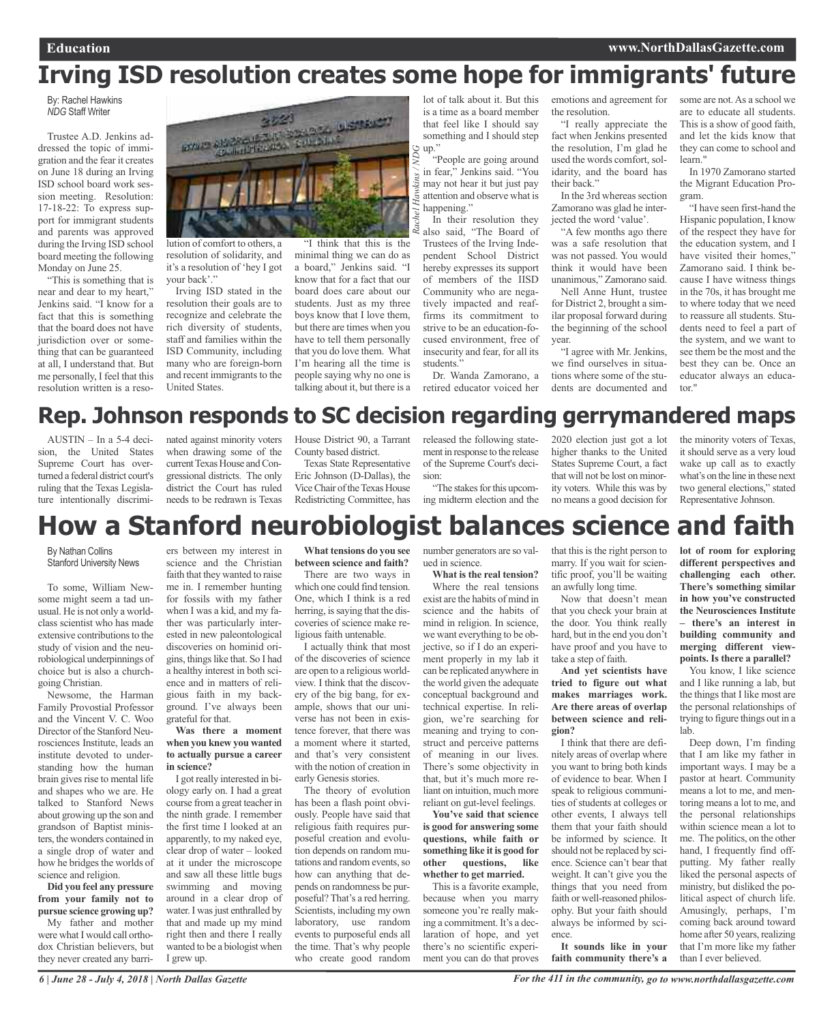## **Irving ISD resolution creates some hope for immigrants' future**

*Rachel Hawkins / ND*

*G*

By: Rachel Hawkins *NDG* Staff Writer

Trustee A.D. Jenkins addressed the topic of immigration and the fear it creates on June 18 during an Irving ISD school board work session meeting. Resolution: 17-18-22: To express support for immigrant students and parents was approved during the Irving ISD school board meeting the following Monday on June 25.

"This is something that is near and dear to my heart," Jenkins said. "I know for a fact that this is something that the board does not have jurisdiction over or something that can be guaranteed at all, I understand that. But me personally, I feel that this resolution written is a reso-



resolution of solidarity, and it's a resolution of 'hey I got your back'."

Irving ISD stated in the resolution their goals are to recognize and celebrate the rich diversity of students, staff and families within the ISD Community, including many who are foreign-born and recent immigrants to the United States.

minimal thing we can do as a board," Jenkins said. "I know that for a fact that our board does care about our students. Just as my three boys know that I love them, but there are times when you have to tell them personally that you do love them. What I'm hearing all the time is people saying why no one is talking about it, but there is a  up." lot of talk about it. But this is a time as a board member that feel like I should say something and I should step

"People are going around in fear," Jenkins said. "You may not hear it but just pay attention and observe what is happening."

In their resolution they also said, "The Board of Trustees of the Irving Independent School District hereby expresses its support of members of the IISD Community who are negatively impacted and reaffirms its commitment to strive to be an education-focused environment, free of insecurity and fear, for all its students."

Dr. Wanda Zamorano, a retired educator voiced her emotions and agreement for the resolution.

"I really appreciate the fact when Jenkins presented the resolution, I'm glad he used the words comfort, solidarity, and the board has their back."

In the 3rd whereas section Zamorano was glad he interjected the word 'value'.

"A few months ago there was a safe resolution that was not passed. You would think it would have been unanimous," Zamorano said.

Nell Anne Hunt, trustee for District 2, brought a similar proposal forward during the beginning of the school year.

"I agree with Mr. Jenkins, we find ourselves in situations where some of the students are documented and some are not.As a school we are to educate all students. This is a show of good faith, and let the kids know that they can come to school and learn."

In 1970 Zamorano started the Migrant Education Program.

"I have seen first-hand the Hispanic population, I know of the respect they have for the education system, and I have visited their homes," Zamorano said. I think because I have witness things in the 70s, it has brought me to where today that we need to reassure all students. Students need to feel a part of the system, and we want to see them be the most and the best they can be. Once an educator always an educator."

## **Rep. Johnson responds to SC decision regarding gerrymandered maps**

AUSTIN – In a 5-4 decision, the United States Supreme Court has overturned a federal district court's ruling that the Texas Legislature intentionally discrimi-

nated against minority voters when drawing some of the current Texas House and Congressional districts. The only district the Court has ruled needs to be redrawn is Texas

House District 90, a Tarrant County based district.

Texas State Representative Eric Johnson (D-Dallas), the Vice Chair of the Texas House Redistricting Committee, has released the following statement in response to the release of the Supreme Court's decision:

"The stakes for this upcoming midterm election and the 2020 election just got a lot higher thanks to the United States Supreme Court, a fact that will not be lost on minority voters. While this was by no means a good decision for

the minority voters of Texas, it should serve as a very loud wake up call as to exactly what's on the line in these next two general elections," stated Representative Johnson.

## **How a Stanford neurobiologist balances science and faith**

By Nathan Collins Stanford University News

To some, William Newsome might seem a tad unusual. He is not only a worldclass scientist who has made extensive contributions to the study of vision and the neurobiological underpinnings of choice but is also a churchgoing Christian.

Newsome, the Harman Family Provostial Professor and the Vincent V. C. Woo Director of the Stanford Neurosciences Institute, leads an institute devoted to understanding how the human brain gives rise to mental life and shapes who we are. He talked to Stanford News about growing up the son and grandson of Baptist ministers, the wonders contained in a single drop of water and how he bridges the worlds of science and religion.

**Did you feel any pressure from your family not to pursue science growing up?**

My father and mother were what I would call orthodox Christian believers, but they never created any barri-

ers between my interest in science and the Christian faith that they wanted to raise me in. I remember hunting for fossils with my father when I was a kid, and my father was particularly interested in new paleontological discoveries on hominid origins, things like that. So I had a healthy interest in both science and in matters of religious faith in my background. I've always been grateful for that.

**Was there a moment when you knew you wanted to actually pursue a career in science?**

I got really interested in biology early on. I had a great course from a great teacher in the ninth grade. I remember the first time I looked at an apparently, to my naked eye, clear drop of water – looked at it under the microscope and saw all these little bugs swimming and moving around in a clear drop of water. I was just enthralled by that and made up my mind right then and there I really wanted to be a biologist when I grew up.

**What tensions do you see between science and faith?**

There are two ways in which one could find tension. One, which I think is a red herring, is saying that the discoveries of science make religious faith untenable.

I actually think that most of the discoveries of science are open to a religious worldview. I think that the discovery of the big bang, for example, shows that our universe has not been in existence forever, that there was a moment where it started, and that's very consistent with the notion of creation in early Genesis stories.

The theory of evolution has been a flash point obviously. People have said that religious faith requires purposeful creation and evolution depends on random mutations and random events, so how can anything that depends on randomness be purposeful? That's a red herring. Scientists, including my own laboratory, use random events to purposeful ends all the time. That's why people who create good random

number generators are so valued in science.

**What is the real tension?** Where the real tensions exist are the habits of mind in science and the habits of mind in religion. In science, we want everything to be objective, so if I do an experiment properly in my lab it can be replicated anywhere in the world given the adequate conceptual background and technical expertise. In religion, we're searching for meaning and trying to construct and perceive patterns of meaning in our lives. There's some objectivity in that, but it's much more reliant on intuition, much more reliant on gut-level feelings.

**You've said that science is good for answering some questions, while faith or something** like it is good for<br>other questions, like **other questions**, **whether to get married.**

This is a favorite example, because when you marry someone you're really making a commitment. It's a declaration of hope, and yet there's no scientific experiment you can do that proves that this is the right person to marry. If you wait for scientific proof, you'll be waiting an awfully long time.

Now that doesn't mean that you check your brain at the door. You think really hard, but in the end you don't have proof and you have to take a step of faith.

**And yet scientists have tried to figure out what makes marriages work. Are there areas of overlap between science and religion?**

I think that there are definitely areas of overlap where you want to bring both kinds of evidence to bear. When I speak to religious communities of students at colleges or other events, I always tell them that your faith should be informed by science. It should not be replaced by science. Science can't bear that weight. It can't give you the things that you need from faith or well-reasoned philosophy. But your faith should always be informed by science.

**It sounds like in your faith community there's a** **lot of room for exploring different perspectives and challenging each other. There's something similar in how you've constructed the Neurosciences Institute – there's an interest in building community and merging different viewpoints. Is there a parallel?**

You know, I like science and I like running a lab, but the things that I like most are the personal relationships of trying to figure things out in a lab.

Deep down, I'm finding that I am like my father in important ways. I may be a pastor at heart. Community means a lot to me, and mentoring means a lot to me, and the personal relationships within science mean a lot to me. The politics, on the other hand, I frequently find offputting. My father really liked the personal aspects of ministry, but disliked the political aspect of church life. Amusingly, perhaps, I'm coming back around toward home after 50 years, realizing that I'm more like my father than I ever believed.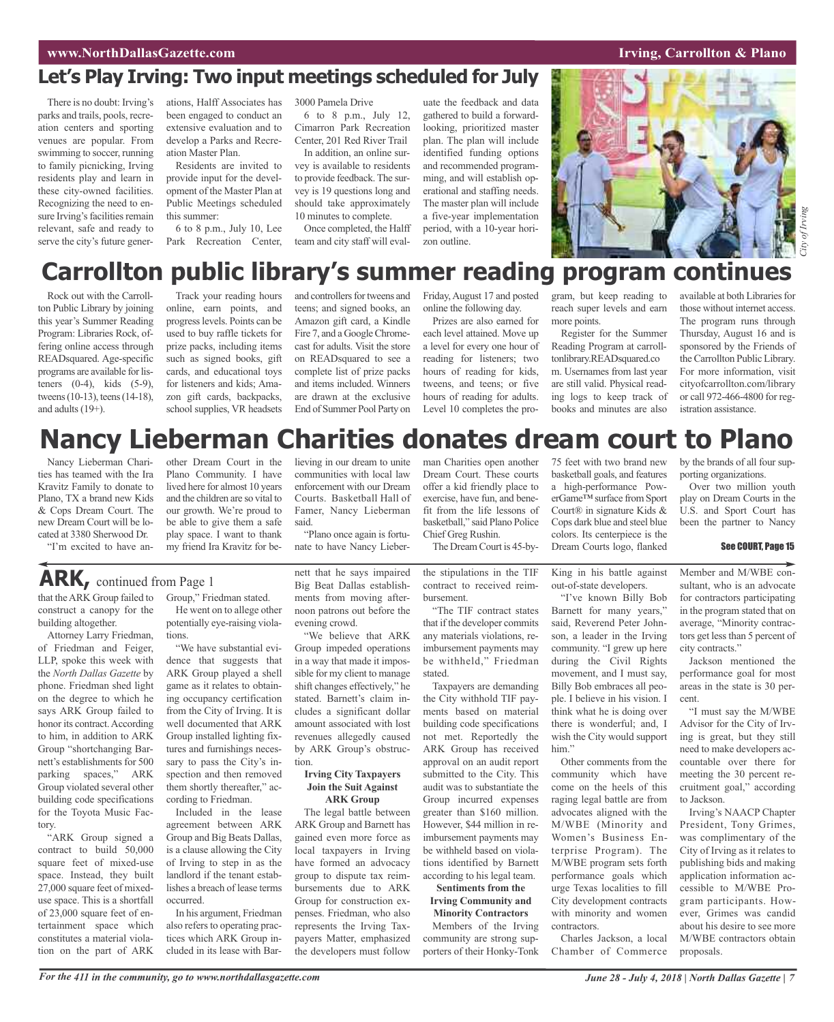### *Entertainmental <b>Entertainment* **Entertainment** *Carrollton & Plano* **Irving, Carrollton & Plano**

### **Let's Play Irving: Two input meetings scheduled for July**

There is no doubt: Irving's parks and trails, pools, recreation centers and sporting venues are popular. From swimming to soccer, running to family picnicking, Irving residents play and learn in these city-owned facilities. Recognizing the need to ensure Irving's facilities remain relevant, safe and ready to serve the city's future gener-

ations, Halff Associates has been engaged to conduct an extensive evaluation and to develop a Parks and Recreation Master Plan.

Residents are invited to provide input for the development of the Master Plan at Public Meetings scheduled this summer:

6 to 8 p.m., July 10, Lee Park Recreation Center,

#### 3000 Pamela Drive

6 to 8 p.m., July 12, Cimarron Park Recreation Center, 201 Red River Trail In addition, an online sur-

vey is available to residents to provide feedback. The survey is 19 questions long and should take approximately 10 minutes to complete.

Once completed, the Halff team and city staff will eval-

uate the feedback and data gathered to build a forwardlooking, prioritized master plan. The plan will include identified funding options and recommended programming, and will establish operational and staffing needs. The master plan will include a five-year implementation period, with a 10-year horizon outline.



## **Carrollton public library's summer reading program continues**

Rock out with the Carrollton Public Library by joining this year's Summer Reading Program: Libraries Rock, offering online access through READsquared. Age-specific programs are available for listeners (0-4), kids (5-9), tweens(10-13), teens(14-18), and adults (19+).

Track your reading hours online, earn points, and progresslevels. Points can be used to buy raffle tickets for prize packs, including items such as signed books, gift cards, and educational toys for listeners and kids; Amazon gift cards, backpacks, school supplies, VR headsets

and controllers for tweens and teens; and signed books, an Amazon gift card, a Kindle Fire 7, and a GoogleChromecast for adults. Visit the store on READsquared to see a complete list of prize packs and items included. Winners are drawn at the exclusive End of Summer Pool Party on

Friday,August 17 and posted online the following day.

Prizes are also earned for each level attained. Move up a level for every one hour of reading for listeners; two hours of reading for kids, tweens, and teens; or five hours of reading for adults. Level 10 completes the program, but keep reading to reach super levels and earn more points.

Register for the Summer Reading Program at carrolltonlibrary.READsquared.co m. Usernames from last year are still valid. Physical reading logs to keep track of books and minutes are also

available at both Libraries for those without internet access. The program runs through Thursday, August 16 and is sponsored by the Friends of the Carrollton Public Library. For more information, visit cityofcarrollton.com/library or call 972-466-4800 for registration assistance.

## **Nancy Lieberman Charities donates dream court to Plano**

Nancy Lieberman Charities has teamed with the Ira Kravitz Family to donate to Plano, TX a brand new Kids & Cops Dream Court. The new Dream Court will be located at 3380 Sherwood Dr. "I'm excited to have an-

other Dream Court in the Plano Community. I have lived here for almost 10 years and the children are so vital to our growth. We're proud to be able to give them a safe play space. I want to thank my friend Ira Kravitz for be-

lieving in our dream to unite communities with local law enforcement with our Dream Courts. Basketball Hall of Famer, Nancy Lieberman said.

"Plano once again is fortunate to have Nancy Lieber-

## **ARK,** continued from Page <sup>1</sup>

that theARK Group failed to construct a canopy for the building altogether.

Attorney Larry Friedman, of Friedman and Feiger, LLP, spoke this week with the *North Dallas Gazette* by phone. Friedman shed light on the degree to which he says ARK Group failed to honor its contract. According to him, in addition to ARK Group "shortchanging Barnett's establishments for 500 parking spaces," ARK Group violated several other building code specifications for the Toyota Music Factory.

"ARK Group signed a contract to build 50,000 square feet of mixed-use space. Instead, they built 27,000 square feet of mixeduse space. This is a shortfall of 23,000 square feet of entertainment space which constitutes a material violation on the part of ARK

Group," Friedman stated. He went on to allege other potentially eye-raising viola-

tions.

"We have substantial evidence that suggests that ARK Group played a shell game as it relates to obtaining occupancy certification from the City of Irving. It is well documented that ARK Group installed lighting fixtures and furnishings necessary to pass the City's inspection and then removed them shortly thereafter," according to Friedman.

Included in the lease agreement between ARK Group and Big Beats Dallas, is a clause allowing the City of Irving to step in as the landlord if the tenant establishes a breach of lease terms occurred.

In his argument, Friedman also refers to operating practices which ARK Group included in its lease with Bar-

nett that he says impaired Big Beat Dallas establishments from moving afternoon patrons out before the evening crowd.

"We believe that ARK Group impeded operations in a way that made it impossible for my client to manage shift changes effectively," he stated. Barnett's claim includes a significant dollar amount associated with lost revenues allegedly caused by ARK Group's obstruction.

### **Irving City Taxpayers Join the Suit Against ARK Group**

The legal battle between ARK Group and Barnett has gained even more force as local taxpayers in Irving have formed an advocacy group to dispute tax reimbursements due to ARK Group for construction expenses. Friedman, who also represents the Irving Taxpayers Matter, emphasized the developers must follow man Charities open another Dream Court. These courts offer a kid friendly place to exercise, have fun, and benefit from the life lessons of basketball," said Plano Police Chief Greg Rushin.

The Dream Court is 45-by-

the stipulations in the TIF contract to received reimbursement.

"The TIF contract states that if the developer commits any materials violations, reimbursement payments may be withheld," Friedman stated.

Taxpayers are demanding the City withhold TIF payments based on material building code specifications not met. Reportedly the ARK Group has received approval on an audit report submitted to the City. This audit was to substantiate the Group incurred expenses greater than \$160 million. However, \$44 million in reimbursement payments may be withheld based on violations identified by Barnett according to his legal team.

**Sentiments from the**

**Irving Community and Minority Contractors** Members of the Irving

community are strong supporters of their Honky-Tonk 75 feet with two brand new basketball goals, and features a high-performance Pow-

erGame™ surface from Sport Court® in signature Kids & Cops dark blue and steel blue colors. Its centerpiece is the Dream Courts logo, flanked

King in his battle against out-of-state developers.

"I've known Billy Bob Barnett for many years," said, Reverend Peter Johnson, a leader in the Irving community. "I grew up here during the Civil Rights movement, and I must say, Billy Bob embraces all people. I believe in his vision. I think what he is doing over there is wonderful; and, I wish the City would support him."

Other comments from the community which have come on the heels of this raging legal battle are from advocates aligned with the M/WBE (Minority and Women's Business Enterprise Program). The M/WBE program sets forth performance goals which urge Texas localities to fill City development contracts with minority and women contractors.

Charles Jackson, a local Chamber of Commerce by the brands of all four supporting organizations.

Over two million youth play on Dream Courts in the U.S. and Sport Court has been the partner to Nancy

### See COURT, Page 15

Member and M/WBE consultant, who is an advocate for contractors participating in the program stated that on average, "Minority contractors get less than 5 percent of city contracts."

Jackson mentioned the performance goal for most areas in the state is 30 percent.

"I must say the M/WBE Advisor for the City of Irving is great, but they still need to make developers accountable over there for meeting the 30 percent recruitment goal," according to Jackson.

Irving's NAACP Chapter President, Tony Grimes, was complimentary of the City of Irving as it relates to publishing bids and making application information accessible to M/WBE Program participants. However, Grimes was candid about his desire to see more M/WBE contractors obtain proposals.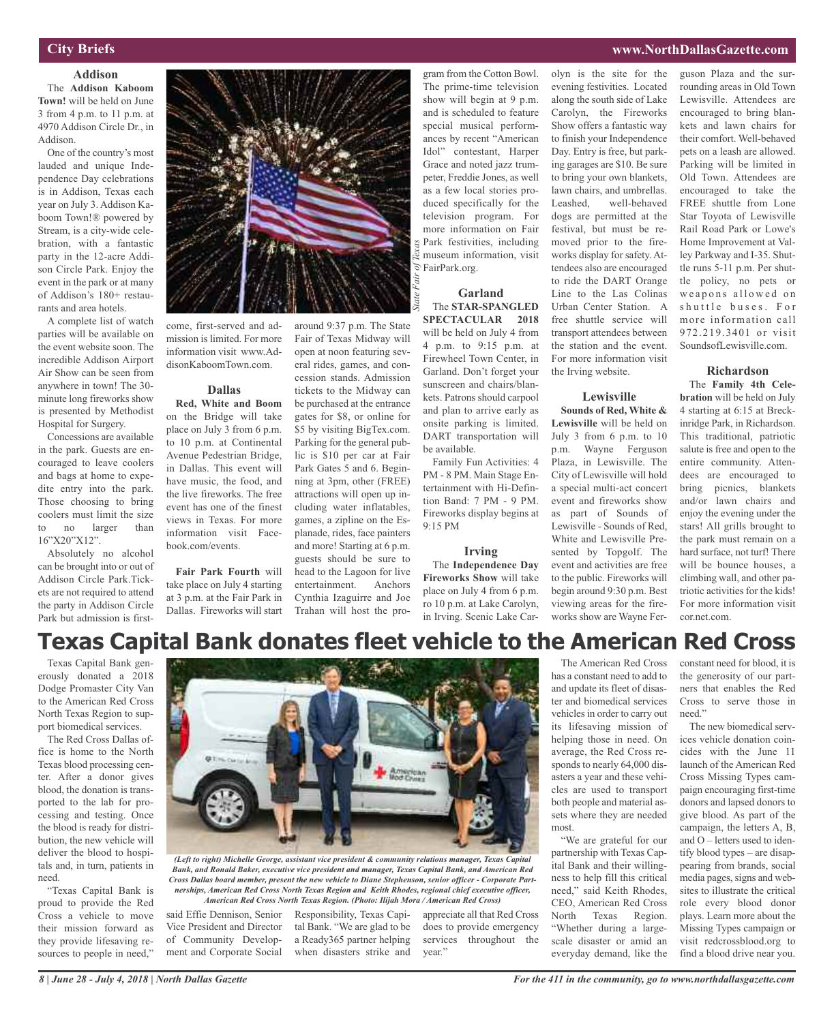### **City Briefs**

### **Addison**

The **Addison Kaboom Town!** will be held on June 3 from 4 p.m. to 11 p.m. at 4970 Addison Circle Dr., in Addison.

One of the country's most lauded and unique Independence Day celebrations is in Addison, Texas each year on July 3. Addison Kaboom Town!® powered by Stream, is a city-wide celebration, with a fantastic party in the 12-acre Addison Circle Park. Enjoy the event in the park or at many of Addison's 180+ restaurants and area hotels.

A complete list of watch parties will be available on the event website soon. The incredible Addison Airport Air Show can be seen from anywhere in town! The 30 minute long fireworks show is presented by Methodist Hospital for Surgery.

Concessions are available in the park. Guests are encouraged to leave coolers and bags at home to expedite entry into the park. Those choosing to bring coolers must limit the size to no larger than 16"X20"X12".

Absolutely no alcohol can be brought into or out of Addison Circle Park.Tickets are not required to attend the party in Addison Circle Park but admission is first-



come, first-served and admission is limited. For more information visit www.AddisonKaboomTown.com.

### **Dallas**

**Red, White and Boom** on the Bridge will take place on July 3 from 6 p.m. to 10 p.m. at Continental Avenue Pedestrian Bridge, in Dallas. This event will have music, the food, and the live fireworks. The free event has one of the finest views in Texas. For more information visit Facebook.com/events.

**Fair Park Fourth** will take place on July 4 starting at 3 p.m. at the Fair Park in Dallas. Fireworks will start

around 9:37 p.m. The State Fair of Texas Midway will open at noon featuring several rides, games, and concession stands. Admission tickets to the Midway can be purchased at the entrance gates for \$8, or online for \$5 by visiting BigTex.com. Parking for the general public is \$10 per car at Fair Park Gates 5 and 6. Beginning at 3pm, other (FREE) attractions will open up including water inflatables, games, a zipline on the Esplanade, rides, face painters and more! Starting at 6 p.m. guests should be sure to head to the Lagoon for live entertainment. Anchors Cynthia Izaguirre and Joe Trahan will host the pro-

gram from the Cotton Bowl. The prime-time television show will begin at 9 p.m. and is scheduled to feature special musical performances by recent "American Idol" contestant, Harper Grace and noted jazz trumpeter, Freddie Jones, as well as a few local stories produced specifically for the television program. For more information on Fair Park festivities, including museum information, visit FairPark.org.

### **Garland**

The **STAR-SPANGLED SPECTACULAR 2018** will be held on July 4 from 4 p.m. to 9:15 p.m. at Firewheel Town Center, in Garland. Don't forget your sunscreen and chairs/blankets. Patrons should carpool and plan to arrive early as onsite parking is limited. DART transportation will be available.

Family Fun Activities: 4 PM - 8 PM. Main Stage Entertainment with Hi-Defintion Band: 7 PM - 9 PM. Fireworks display begins at 9:15 PM

### **Irving**

The **Independence Day Fireworks Show** will take place on July 4 from 6 p.m. ro 10 p.m. at Lake Carolyn, in Irving. Scenic Lake Carolyn is the site for the evening festivities. Located along the south side of Lake Carolyn, the Fireworks Show offers a fantastic way to finish your Independence Day. Entry is free, but parking garages are \$10. Be sure to bring your own blankets, lawn chairs, and umbrellas. Leashed, well-behaved dogs are permitted at the festival, but must be removed prior to the fireworks display for safety. Attendees also are encouraged to ride the DART Orange Line to the Las Colinas Urban Center Station. A free shuttle service will transport attendees between the station and the event. For more information visit the Irving website.

### **Lewisville**

**Sounds of Red, White & Lewisville** will be held on July 3 from 6 p.m. to 10 p.m. Wayne Ferguson Plaza, in Lewisville. The City of Lewisville will hold a special multi-act concert event and fireworks show as part of Sounds of Lewisville - Sounds of Red, White and Lewisville Presented by Topgolf. The event and activities are free to the public. Fireworks will begin around 9:30 p.m. Best viewing areas for the fireworks show are Wayne Fer-

### **www.NorthDallasGazette.com**

guson Plaza and the surrounding areas in Old Town Lewisville. Attendees are encouraged to bring blankets and lawn chairs for their comfort. Well-behaved pets on a leash are allowed. Parking will be limited in Old Town. Attendees are encouraged to take the FREE shuttle from Lone Star Toyota of Lewisville Rail Road Park or Lowe's Home Improvement at Valley Parkway and I-35. Shuttle runs 5-11 p.m. Per shuttle policy, no pets or weapons allowed on shuttle buses. For more information call 972.219.3401 or visit SoundsofLewisville.com.

### **Richardson**

The **Family 4th Celebration** will be held on July 4 starting at 6:15 at Breckinridge Park, in Richardson. This traditional, patriotic salute is free and open to the entire community. Attendees are encouraged to bring picnics, blankets and/or lawn chairs and enjoy the evening under the stars! All grills brought to the park must remain on a hard surface, not turf! There will be bounce houses, a climbing wall, and other patriotic activities for the kids! For more information visit cor.net.com.

## **Texas Capital Bank donates fleet vehicle to the American Red Cross**

Texas Capital Bank generously donated a 2018 Dodge Promaster City Van to the American Red Cross North Texas Region to support biomedical services.

The Red Cross Dallas office is home to the North Texas blood processing center. After a donor gives blood, the donation is transported to the lab for processing and testing. Once the blood is ready for distribution, the new vehicle will deliver the blood to hospitals and, in turn, patients in need.

"Texas Capital Bank is proud to provide the Red Cross a vehicle to move their mission forward as they provide lifesaving resources to people in need,"



*(Left to right) Michelle George, assistant vice president & community relations manager, Texas Capital Bank, and Ronald Baker, executive vice president and manager, Texas Capital Bank, and American Red Cross Dallas board member, present the new vehicle to Diane Stephenson, senior officer - Corporate Partnerships, American Red Cross North Texas Region and Keith Rhodes, regional chief executive officer, American Red Cross North Texas Region. (Photo: Ilijah Mora / American Red Cross)*

Vice President and Director of Community Development and Corporate Social

said Effie Dennison, Senior Responsibility, Texas Capi-appreciate all that Red Cross tal Bank. "We are glad to be a Ready365 partner helping when disasters strike and

does to provide emergency services throughout the year."

The American Red Cross has a constant need to add to and update its fleet of disaster and biomedical services vehicles in order to carry out its lifesaving mission of helping those in need. On average, the Red Cross responds to nearly 64,000 disasters a year and these vehicles are used to transport both people and material assets where they are needed most.

"We are grateful for our partnership with Texas Capital Bank and their willingness to help fill this critical need," said Keith Rhodes, CEO, American Red Cross North Texas Region. "Whether during a largescale disaster or amid an everyday demand, like the constant need for blood, it is the generosity of our partners that enables the Red Cross to serve those in need."

The new biomedical services vehicle donation coincides with the June 11 launch of the American Red Cross Missing Types campaign encouraging first-time donors and lapsed donors to give blood. As part of the campaign, the letters A, B, and O – letters used to identify blood types – are disappearing from brands, social media pages, signs and websites to illustrate the critical role every blood donor plays. Learn more about the Missing Types campaign or visit redcrossblood.org to find a blood drive near you.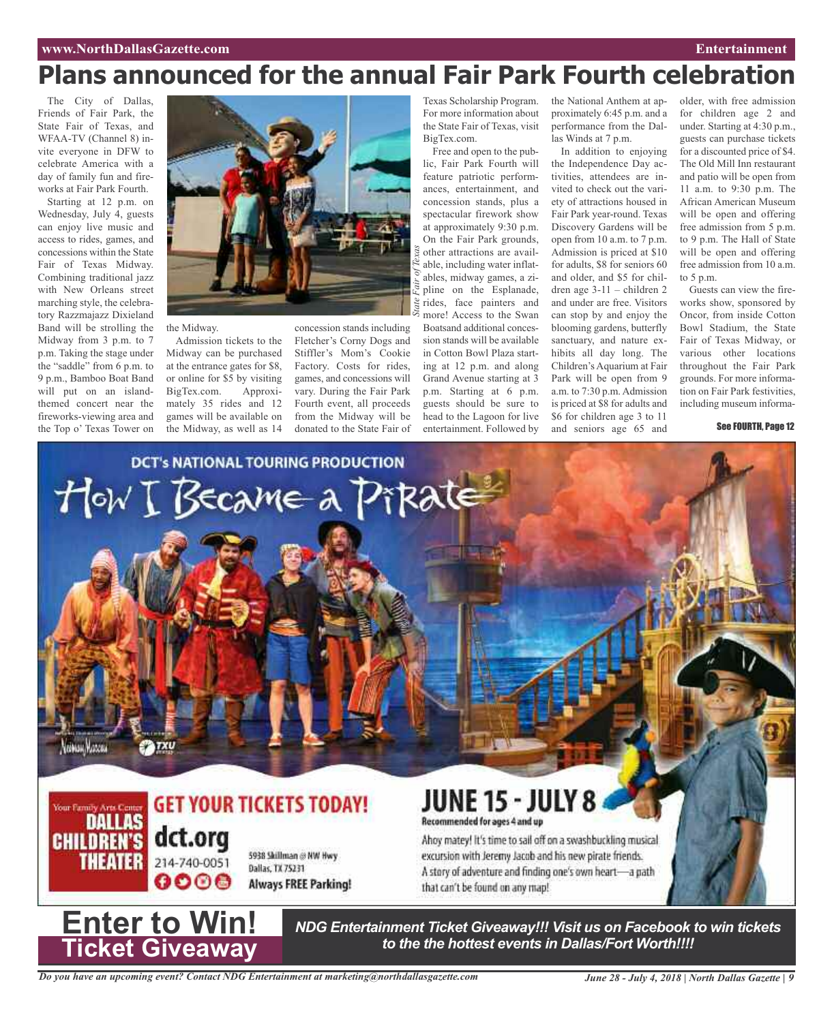## **Plans announced for the annual Fair Park Fourth celebration**

The City of Dallas, Friends of Fair Park, the State Fair of Texas, and WFAA-TV (Channel 8) invite everyone in DFW to celebrate America with a day of family fun and fireworks at Fair Park Fourth.

Starting at 12 p.m. on Wednesday, July 4, guests can enjoy live music and access to rides, games, and concessions within the State Fair of Texas Midway. Combining traditional jazz with New Orleans street marching style, the celebratory Razzmajazz Dixieland Band will be strolling the Midway from 3 p.m. to 7 p.m. Taking the stage under the "saddle" from 6 p.m. to 9 p.m., Bamboo Boat Band will put on an islandthemed concert near the fireworks-viewing area and the Top o' Texas Tower on



the Midway.

Admission tickets to the Midway can be purchased at the entrance gates for \$8, or online for \$5 by visiting BigTex.com. Approximately 35 rides and 12 games will be available on the Midway, as well as 14

concession stands including Fletcher's Corny Dogs and Stiffler's Mom's Cookie Factory. Costs for rides, games, and concessions will vary. During the Fair Park Fourth event, all proceeds from the Midway will be

Texas Scholarship Program. For more information about the State Fair of Texas, visit BigTex.com.

Free and open to the public, Fair Park Fourth will feature patriotic performances, entertainment, and concession stands, plus a spectacular firework show at approximately 9:30 p.m. On the Fair Park grounds, other attractions are available, including water inflatables, midway games, a zipline on the Esplanade, rides, face painters and more! Access to the Swan Boatsand additional concession stands will be available in Cotton Bowl Plaza starting at 12 p.m. and along Grand Avenue starting at 3 p.m. Starting at 6 p.m. guests should be sure to head to the Lagoon for live

the National Anthem at approximately 6:45 p.m. and a performance from the Dallas Winds at 7 p.m.

In addition to enjoying the Independence Day activities, attendees are invited to check out the variety of attractions housed in Fair Park year-round. Texas Discovery Gardens will be open from 10 a.m. to 7 p.m. Admission is priced at \$10 for adults, \$8 for seniors 60 and older, and \$5 for children age 3-11 – children 2 and under are free. Visitors can stop by and enjoy the blooming gardens, butterfly sanctuary, and nature exhibits all day long. The Children's Aquarium at Fair Park will be open from 9 a.m. to 7:30 p.m. Admission is priced at \$8 for adults and \$6 for children age 3 to 11 and seniors age 65 and

older, with free admission for children age 2 and under. Starting at 4:30 p.m., guests can purchase tickets for a discounted price of \$4. The Old Mill Inn restaurant and patio will be open from 11 a.m. to 9:30 p.m. The African American Museum will be open and offering free admission from 5 p.m. to 9 p.m. The Hall of State will be open and offering free admission from 10 a.m. to  $5 \text{ n.m.}$ 

Guests can view the fireworks show, sponsored by Oncor, from inside Cotton Bowl Stadium, the State Fair of Texas Midway, or various other locations throughout the Fair Park grounds. For more information on Fair Park festivities, including museum informa-

See FOURTH, Page 12

# donated to the State Fair of entertainment. Followed by **DCT's NATIONAL TOURING PRODUCTION** How I Became a Pirate

Чинан Массан



## **JUNE 15 - JULY 8** Recommended for ages 4 and up

Ahoy matey! It's time to sail off on a swashbuckling musical excursion with Jeremy Jacob and his new pirate friends. A story of adventure and finding one's own heart-a path that can't be found on any map!



 $77XU$ 

*NDG Entertainment Ticket Giveaway!!! Visit us on Facebook to win tickets to the the hottest events in Dallas/Fort Worth!!!!*

*Do you have an upcoming event? Contact NDG Entertainment at marketing@northdallasgazette.com*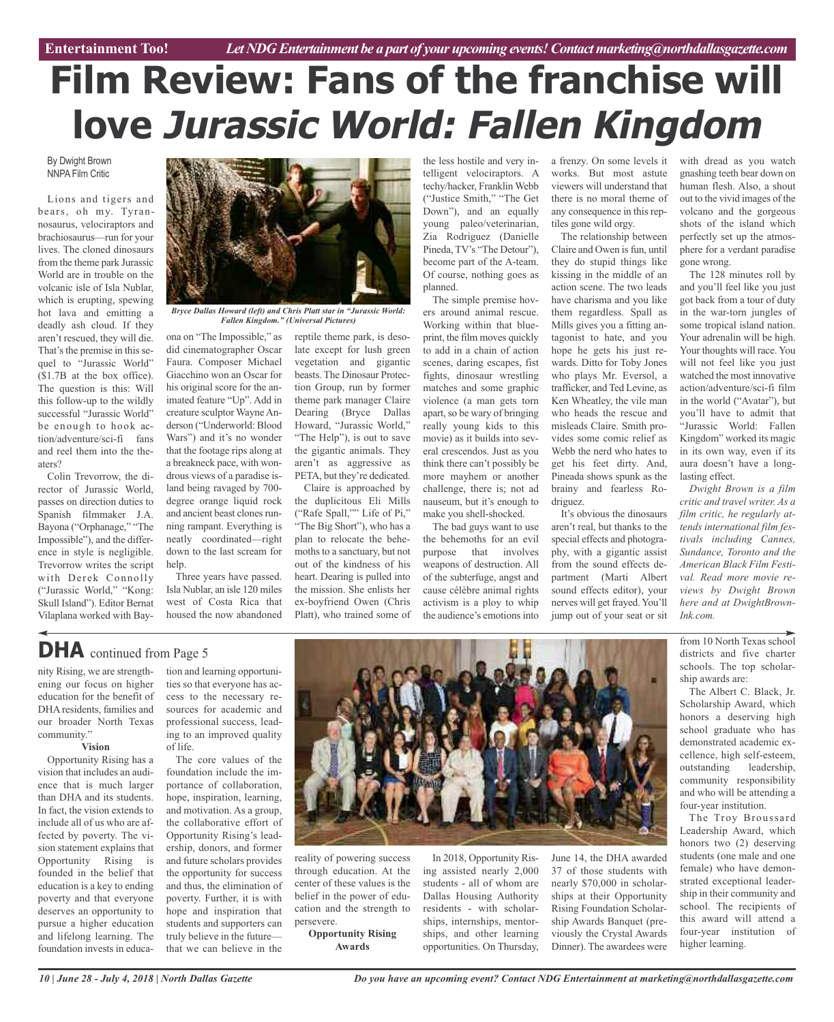# **Film Review: Fans of the franchise will love Jurassic World: Fallen Kingdom**

### By Dwight Brown NNPA Film Critic

Lions and tigers and bears, oh my. Tyrannosaurus, velociraptors and brachiosaurus—run for your lives. The cloned dinosaurs from the theme park Jurassic World are in trouble on the volcanic isle of Isla Nublar, which is erupting, spewing hot lava and emitting a deadly ash cloud. If they aren't rescued, they will die. That's the premise in this sequel to "Jurassic World" (\$1.7B at the box office). The question is this: Will this follow-up to the wildly successful "Jurassic World" be enough to hook action/adventure/sci-fi fans and reel them into the theaters?

Colin Trevorrow, the director of Jurassic World, passes on direction duties to Spanish filmmaker J.A. Bayona ("Orphanage," "The Impossible"), and the difference in style is negligible. Trevorrow writes the script with Derek Connolly ("Jurassic World," "Kong: Skull Island"). Editor Bernat Vilaplana worked with Bay-



*Bryce Dallas Howard (left) and Chris Platt star in "Jurassic World: Fallen Kingdom." (Universal Pictures)*

ona on "The Impossible," as did cinematographer Oscar Faura. Composer Michael Giacchino won an Oscar for his original score for the animated feature "Up". Add in creature sculptor WayneAnderson ("Underworld: Blood Wars") and it's no wonder that the footage rips along at a breakneck pace, with wondrous views of a paradise island being ravaged by 700 degree orange liquid rock and ancient beast clones running rampant. Everything is neatly coordinated—right down to the last scream for help.

Three years have passed. Isla Nublar, an isle 120 miles west of Costa Rica that housed the now abandoned reptile theme park, is desolate except for lush green vegetation and gigantic beasts. The Dinosaur Protection Group, run by former theme park manager Claire Dearing (Bryce Dallas Howard, "Jurassic World," "The Help"), is out to save the gigantic animals. They aren't as aggressive as PETA, but they're dedicated.

Claire is approached by the duplicitous Eli Mills ("Rafe Spall,"" Life of Pi," "The Big Short"), who has a plan to relocate the behemoths to a sanctuary, but not out of the kindness of his heart. Dearing is pulled into the mission. She enlists her ex-boyfriend Owen (Chris Platt), who trained some of

the less hostile and very intelligent velociraptors. A techy/hacker, Franklin Webb ("Justice Smith," "The Get Down"), and an equally young paleo/veterinarian, Zia Rodriguez (Danielle Pineda, TV's "The Detour"), become part of the A-team. Of course, nothing goes as planned.

The simple premise hovers around animal rescue. Working within that blueprint, the film moves quickly to add in a chain of action scenes, daring escapes, fist fights, dinosaur wrestling matches and some graphic violence (a man gets torn apart, so be wary of bringing really young kids to this movie) as it builds into several crescendos. Just as you think there can't possibly be more mayhem or another challenge, there is; not ad nauseum, but it's enough to make you shell-shocked.

The bad guys want to use the behemoths for an evil purpose that involves weapons of destruction. All of the subterfuge, angst and cause célèbre animal rights activism is a ploy to whip the audience's emotions into a frenzy. On some levels it works. But most astute viewers will understand that there is no moral theme of any consequence in this reptiles gone wild orgy.

The relationship between Claire and Owen is fun, until they do stupid things like kissing in the middle of an action scene. The two leads have charisma and you like them regardless. Spall as Mills gives you a fitting antagonist to hate, and you hope he gets his just rewards. Ditto for Toby Jones who plays Mr. Eversol, a trafficker, and Ted Levine, as Ken Wheatley, the vile man who heads the rescue and misleads Claire. Smith provides some comic relief as Webb the nerd who hates to get his feet dirty. And, Pineada shows spunk as the brainy and fearless Rodriguez.

It's obvious the dinosaurs aren't real, but thanks to the special effects and photography, with a gigantic assist from the sound effects department (Marti Albert sound effects editor), your nerves will get frayed. You'll jump out of your seat or sit with dread as you watch gnashing teeth bear down on human flesh. Also, a shout out to the vivid images of the volcano and the gorgeous shots of the island which perfectly set up the atmosphere for a verdant paradise gone wrong.

The 128 minutes roll by and you'll feel like you just got back from a tour of duty in the war-torn jungles of some tropical island nation. Your adrenalin will be high. Your thoughts will race. You will not feel like you just watched the most innovative action/adventure/sci-fi film in the world ("Avatar"), but you'll have to admit that "Jurassic World: Fallen Kingdom" worked its magic in its own way, even if its aura doesn't have a longlasting effect.

*Dwight Brown is a film critic and travel writer. As a film critic, he regularly attends international film festivals including Cannes, Sundance, Toronto and the American Black Film Festival. Read more movie reviews by Dwight Brown here and at DwightBrown-Ink.com.*

### from 10 North Texas school districts and five charter schools. The top scholarship awards are:

The Albert C. Black, Jr. Scholarship Award, which honors a deserving high school graduate who has demonstrated academic excellence, high self-esteem, outstanding leadership, community responsibility and who will be attending a four-year institution.

The Troy Broussard Leadership Award, which honors two (2) deserving students (one male and one female) who have demonstrated exceptional leadership in their community and school. The recipients of this award will attend a four-year institution of higher learning.

**DHA** continued from Page <sup>5</sup>

nity Rising, we are strengthening our focus on higher education for the benefit of DHA residents, families and our broader North Texas community."

### **Vision**

Opportunity Rising has a vision that includes an audience that is much larger than DHA and its students. In fact, the vision extends to include all of us who are affected by poverty. The vision statement explains that Opportunity Rising is founded in the belief that education is a key to ending poverty and that everyone deserves an opportunity to pursue a higher education and lifelong learning. The foundation invests in education and learning opportunities so that everyone has access to the necessary resources for academic and professional success, leading to an improved quality of life.

The core values of the foundation include the importance of collaboration, hope, inspiration, learning, and motivation. As a group, the collaborative effort of Opportunity Rising's leadership, donors, and former and future scholars provides the opportunity for success and thus, the elimination of poverty. Further, it is with hope and inspiration that students and supporters can truly believe in the future that we can believe in the



reality of powering success through education. At the center of these values is the belief in the power of education and the strength to persevere.

**Opportunity Rising Awards**

In 2018, Opportunity Rising assisted nearly 2,000 students - all of whom are Dallas Housing Authority residents - with scholarships, internships, mentorships, and other learning opportunities. On Thursday,

June 14, the DHA awarded 37 of those students with nearly \$70,000 in scholarships at their Opportunity Rising Foundation Scholarship Awards Banquet (previously the Crystal Awards Dinner). The awardees were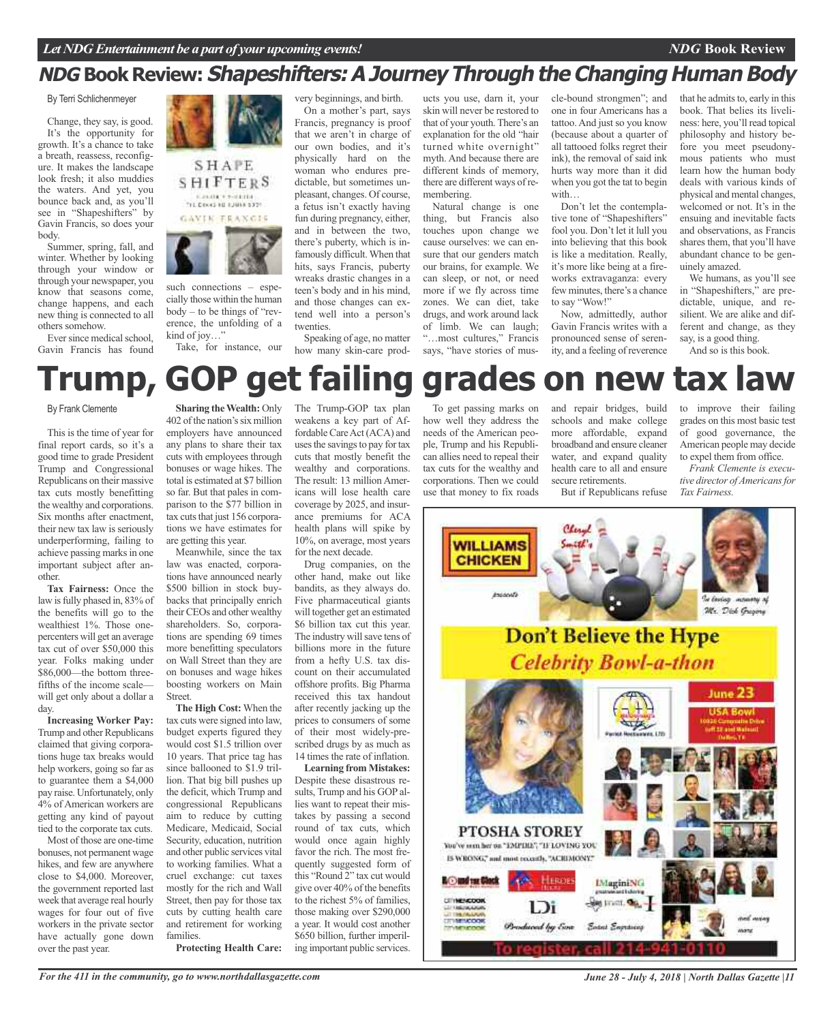## **NDG** Book Review: Shapeshifters: A Journey Through the Changing Human Body

### By Terri Schlichenmeyer

Change, they say, is good. It's the opportunity for growth. It's a chance to take a breath, reassess, reconfigure. It makes the landscape look fresh; it also muddies the waters. And yet, you bounce back and, as you'll see in "Shapeshifters" by Gavin Francis, so does your body.

Summer, spring, fall, and winter. Whether by looking through your window or through your newspaper, you know that seasons come, change happens, and each new thing is connected to all others somehow.

Ever since medical school, Gavin Francis has found



such connections – especially those within the human body – to be things of "reverence, the unfolding of a kind of joy…"

Take, for instance, our

### very beginnings, and birth. On a mother's part, says Francis, pregnancy is proof that we aren't in charge of our own bodies, and it's physically hard on the woman who endures predictable, but sometimes unpleasant, changes. Of course, a fetus isn't exactly having fun during pregnancy, either, and in between the two, there's puberty, which is infamously difficult.When that hits, says Francis, puberty wreaks drastic changes in a teen's body and in his mind, and those changes can extend well into a person's

Speaking of age, no matter how many skin-care prod-

twenties.

ucts you use, darn it, your skin will never be restored to that of your youth. There's an explanation for the old "hair turned white overnight" myth. And because there are different kinds of memory, there are different ways of remembering.

Natural change is one thing, but Francis also touches upon change we cause ourselves: we can ensure that our genders match our brains, for example. We can sleep, or not, or need more if we fly across time zones. We can diet, take drugs, and work around lack of limb. We can laugh; "…most cultures," Francis says, "have stories of muscle-bound strongmen"; and one in four Americans has a tattoo. And just so you know (because about a quarter of all tattooed folks regret their ink), the removal of said ink hurts way more than it did when you got the tat to begin with…

Don't let the contemplative tone of "Shapeshifters" fool you. Don't let it lull you into believing that this book is like a meditation. Really, it's more like being at a fireworks extravaganza: every few minutes, there's a chance to say "Wow!"

Now, admittedly, author Gavin Francis writes with a pronounced sense of serenity, and a feeling of reverence

that he admits to, early in this book. That belies its liveliness: here, you'll read topical philosophy and history before you meet pseudonymous patients who must learn how the human body deals with various kinds of physical and mental changes, welcomed or not. It's in the ensuing and inevitable facts and observations, as Francis shares them, that you'll have abundant chance to be genuinely amazed.

We humans, as you'll see in "Shapeshifters," are predictable, unique, and resilient. We are alike and different and change, as they say, is a good thing.

And so is this book.

## **Trump, GOP get failing grades on new tax law**

### By Frank Clemente

This is the time of year for final report cards, so it's a good time to grade President Trump and Congressional Republicans on their massive tax cuts mostly benefitting the wealthy and corporations. Six months after enactment, their new tax law is seriously underperforming, failing to achieve passing marks in one important subject after another.

**Tax Fairness:** Once the law isfully phased in, 83% of the benefits will go to the wealthiest 1%. Those onepercenters will get an average tax cut of over \$50,000 this year. Folks making under \$86,000—the bottom threefifths of the income scale will get only about a dollar a day.

**Increasing Worker Pay:** Trump and other Republicans claimed that giving corporations huge tax breaks would help workers, going so far as to guarantee them a \$4,000 pay raise. Unfortunately, only 4% of American workers are getting any kind of payout tied to the corporate tax cuts.

Most of those are one-time bonuses, not permanent wage hikes, and few are anywhere close to \$4,000. Moreover, the government reported last week that average real hourly wages for four out of five workers in the private sector have actually gone down over the past year.

**Sharing theWealth:** Only 402 of the nation's six million employers have announced any plans to share their tax cuts with employees through bonuses or wage hikes. The total is estimated at \$7 billion so far. But that pales in comparison to the \$77 billion in tax cuts that just 156 corporations we have estimates for are getting this year.

Meanwhile, since the tax law was enacted, corporations have announced nearly \$500 billion in stock buybacks that principally enrich their CEOs and other wealthy shareholders. So, corporations are spending 69 times more benefitting speculators on Wall Street than they are on bonuses and wage hikes boosting workers on Main **Street** 

**The High Cost:** When the tax cuts were signed into law, budget experts figured they would cost \$1.5 trillion over 10 years. That price tag has since ballooned to \$1.9 trillion. That big bill pushes up the deficit, which Trump and congressional Republicans aim to reduce by cutting Medicare, Medicaid, Social Security, education, nutrition and other public services vital to working families. What a cruel exchange: cut taxes mostly for the rich and Wall Street, then pay for those tax cuts by cutting health care and retirement for working families.

**Protecting Health Care:**

The Trump-GOP tax plan weakens a key part of Affordable Care Act (ACA) and uses the savings to pay for tax cuts that mostly benefit the wealthy and corporations. The result: 13 million Americans will lose health care coverage by 2025, and insurance premiums for ACA health plans will spike by 10%, on average, most years for the next decade.

Drug companies, on the other hand, make out like bandits, as they always do. Five pharmaceutical giants will together get an estimated \$6 billion tax cut this year. The industry will save tens of billions more in the future from a hefty U.S. tax discount on their accumulated offshore profits. Big Pharma received this tax handout after recently jacking up the prices to consumers of some of their most widely-prescribed drugs by as much as 14 times the rate of inflation.

**Learning from Mistakes:** Despite these disastrous results, Trump and his GOP allies want to repeat their mistakes by passing a second round of tax cuts, which would once again highly favor the rich. The most frequently suggested form of this "Round 2" tax cut would give over 40% of the benefits to the richest 5% of families, those making over \$290,000 a year. It would cost another \$650 billion, further imperiling important public services.

To get passing marks on how well they address the needs of the American people, Trump and his Republican allies need to repeal their tax cuts for the wealthy and corporations. Then we could use that money to fix roads

and repair bridges, build schools and make college more affordable, expand broadband and ensure cleaner water, and expand quality health care to all and ensure secure retirements. But if Republicans refuse

to improve their failing grades on this most basic test of good governance, the American people may decide to expel them from office.

*Frank Clemente is executive director ofAmericansfor Tax Fairness.*

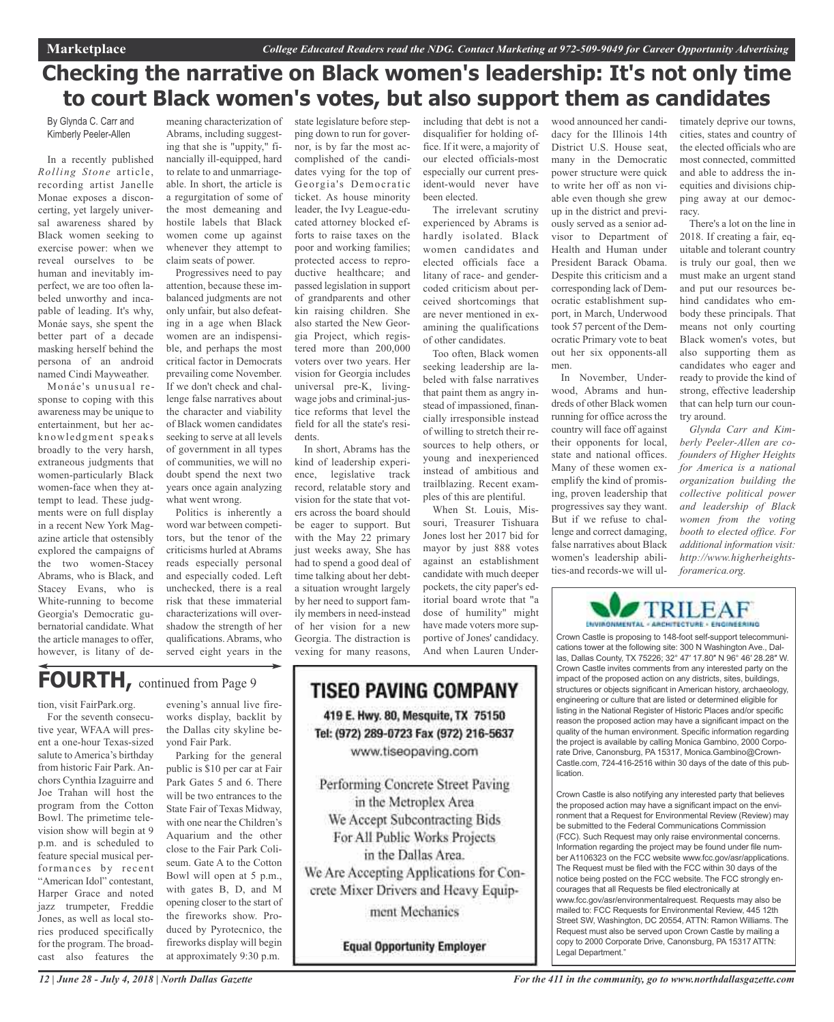## **Checking the narrative on Black women's leadership: It's not only time to court Black women's votes, but also support them as candidates**

By Glynda C. Carr and Kimberly Peeler-Allen

In a recently published *Rolling Stone* article, recording artist Janelle Monae exposes a disconcerting, yet largely universal awareness shared by Black women seeking to exercise power: when we reveal ourselves to be human and inevitably imperfect, we are too often labeled unworthy and incapable of leading. It's why, Monáe says, she spent the better part of a decade masking herself behind the persona of an android named Cindi Mayweather.

Monáe's unusual response to coping with this awareness may be unique to entertainment, but her acknowledgment speaks broadly to the very harsh, extraneous judgments that women-particularly Black women-face when they attempt to lead. These judgments were on full display in a recent New York Magazine article that ostensibly explored the campaigns of the two women-Stacey Abrams, who is Black, and Stacey Evans, who is White-running to become Georgia's Democratic gubernatorial candidate. What the article manages to offer, however, is litany of de-

meaning characterization of Abrams, including suggesting that she is "uppity," financially ill-equipped, hard to relate to and unmarriageable. In short, the article is a regurgitation of some of the most demeaning and hostile labels that Black women come up against whenever they attempt to claim seats of power.

Progressives need to pay attention, because these imbalanced judgments are not only unfair, but also defeating in a age when Black women are an indispensible, and perhaps the most critical factor in Democrats prevailing come November. If we don't check and challenge false narratives about the character and viability of Black women candidates seeking to serve at all levels of government in all types of communities, we will no doubt spend the next two years once again analyzing what went wrong.

Politics is inherently a word war between competitors, but the tenor of the criticisms hurled at Abrams reads especially personal and especially coded. Left unchecked, there is a real risk that these immaterial characterizations will overshadow the strength of her qualifications. Abrams, who served eight years in the

state legislature before stepping down to run for governor, is by far the most accomplished of the candidates vying for the top of Georgia's Democratic ticket. As house minority leader, the Ivy League-educated attorney blocked efforts to raise taxes on the poor and working families; protected access to reproductive healthcare; and passed legislation in support of grandparents and other kin raising children. She also started the New Georgia Project, which registered more than 200,000 voters over two years. Her vision for Georgia includes universal pre-K, livingwage jobs and criminal-justice reforms that level the field for all the state's residents.

In short, Abrams has the kind of leadership experience, legislative track record, relatable story and vision for the state that voters across the board should be eager to support. But with the May 22 primary just weeks away, She has had to spend a good deal of time talking about her debta situation wrought largely by her need to support family members in need-instead of her vision for a new Georgia. The distraction is vexing for many reasons,

### including that debt is not a disqualifier for holding office. If it were, a majority of our elected officials-most especially our current president-would never have been elected.

The irrelevant scrutiny experienced by Abrams is hardly isolated. Black women candidates and elected officials face a litany of race- and gendercoded criticism about perceived shortcomings that are never mentioned in examining the qualifications of other candidates.

Too often, Black women seeking leadership are labeled with false narratives that paint them as angry instead of impassioned, financially irresponsible instead of willing to stretch their resources to help others, or young and inexperienced instead of ambitious and trailblazing. Recent examples of this are plentiful.

When St. Louis, Missouri, Treasurer Tishuara Jones lost her 2017 bid for mayor by just 888 votes against an establishment candidate with much deeper pockets, the city paper's editorial board wrote that "a dose of humility" might have made voters more supportive of Jones' candidacy. And when Lauren Underwood announced her candidacy for the Illinois 14th District U.S. House seat, many in the Democratic power structure were quick to write her off as non viable even though she grew up in the district and previously served as a senior advisor to Department of Health and Human under President Barack Obama. Despite this criticism and a corresponding lack of Democratic establishment support, in March, Underwood took 57 percent of the Democratic Primary vote to beat out her six opponents-all men.

In November, Underwood, Abrams and hundreds of other Black women running for office across the country will face off against their opponents for local, state and national offices. Many of these women exemplify the kind of promising, proven leadership that progressives say they want. But if we refuse to challenge and correct damaging, false narratives about Black women's leadership abilities-and records-we will ultimately deprive our towns, cities, states and country of the elected officials who are most connected, committed and able to address the inequities and divisions chipping away at our democracy.

There's a lot on the line in 2018. If creating a fair, equitable and tolerant country is truly our goal, then we must make an urgent stand and put our resources behind candidates who embody these principals. That means not only courting Black women's votes, but also supporting them as candidates who eager and ready to provide the kind of strong, effective leadership that can help turn our country around.

*Glynda Carr and Kimberly Peeler-Allen are cofounders of Higher Heights for America is a national organization building the collective political power and leadership of Black women from the voting booth to elected office. For additional information visit: http://www.higherheightsforamerica.org.*



Crown Castle is proposing to 148-foot self-support telecommunications tower at the following site: 300 N Washington Ave., Dallas, Dallas County, TX 75226; 32° 47′ 17.80″ N 96° 46′ 28.28″ W. Crown Castle invites comments from any interested party on the impact of the proposed action on any districts, sites, buildings, structures or objects significant in American history, archaeology, engineering or culture that are listed or determined eligible for listing in the National Register of Historic Places and/or specific reason the proposed action may have a significant impact on the quality of the human environment. Specific information regarding the project is available by calling Monica Gambino, 2000 Corporate Drive, Canonsburg, PA 15317, Monica.Gambino@Crown-Castle.com, 724-416-2516 within 30 days of the date of this publication.

Crown Castle is also notifying any interested party that believes the proposed action may have a significant impact on the environment that a Request for Environmental Review (Review) may be submitted to the Federal Communications Commission (FCC). Such Request may only raise environmental concerns. Information regarding the project may be found under file number A1106323 on the FCC website www.fcc.gov/asr/applications. The Request must be filed with the FCC within 30 days of the notice being posted on the FCC website. The FCC strongly encourages that all Requests be filed electronically at www.fcc.gov/asr/environmentalrequest. Requests may also be mailed to: FCC Requests for Environmental Review, 445 12th Street SW, Washington, DC 20554, ATTN: Ramon Williams. The Request must also be served upon Crown Castle by mailing a copy to 2000 Corporate Drive, Canonsburg, PA 15317 ATTN: Legal Department."

## FOURTH, continued from Page 9

tion, visit FairPark.org.

For the seventh consecutive year, WFAA will present a one-hour Texas-sized salute to America's birthday from historic Fair Park. Anchors Cynthia Izaguirre and Joe Trahan will host the program from the Cotton Bowl. The primetime television show will begin at 9 p.m. and is scheduled to feature special musical performances by recent "American Idol" contestant, Harper Grace and noted jazz trumpeter, Freddie Jones, as well as local stories produced specifically for the program. The broadcast also features the

evening's annual live fireworks display, backlit by the Dallas city skyline beyond Fair Park.

Parking for the general public is \$10 per car at Fair Park Gates 5 and 6. There will be two entrances to the State Fair of Texas Midway, with one near the Children's Aquarium and the other close to the Fair Park Coliseum. Gate A to the Cotton Bowl will open at 5 p.m., with gates B, D, and M opening closer to the start of the fireworks show. Produced by Pyrotecnico, the fireworks display will begin at approximately 9:30 p.m.

**TISEO PAVING COMPANY** 419 E. Hwy. 80, Mesquite, TX 75150 Tel: (972) 289-0723 Fax (972) 216-5637 www.tiseopaving.com

Performing Concrete Street Paving in the Metroplex Area We Accept Subcontracting Bids For All Public Works Projects in the Dallas Area. We Are Accepting Applications for Concrete Mixer Drivers and Heavy Equipment Mechanics

**Equal Opportunity Employer**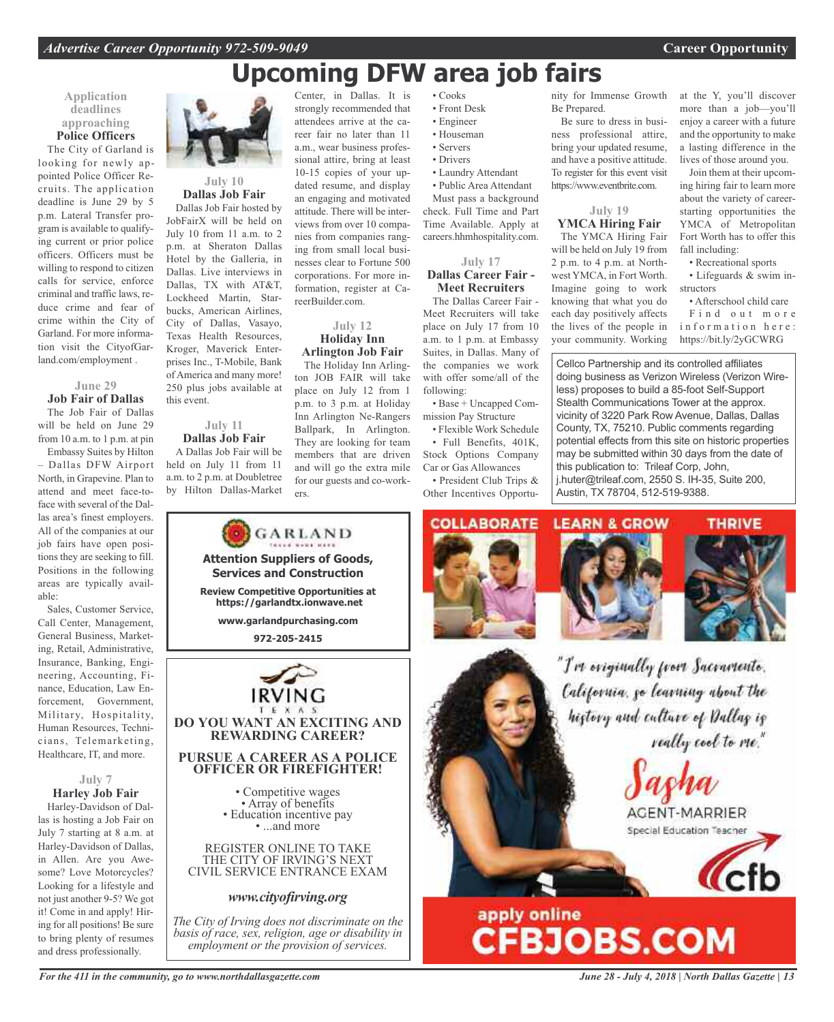## **Upcoming DFW area job fairs**

**Application deadlines approaching Police Officers**

The City of Garland is looking for newly appointed Police Officer Recruits. The application deadline is June 29 by 5 p.m. Lateral Transfer program is available to qualifying current or prior police officers. Officers must be willing to respond to citizen calls for service, enforce criminal and traffic laws, reduce crime and fear of crime within the City of Garland. For more information visit the CityofGarland.com/employment .

### **June 29**

**Job Fair of Dallas** The Job Fair of Dallas will be held on June 29 from 10 a.m. to 1 p.m. at pin Embassy Suites by Hilton – Dallas DFW Airport North, in Grapevine. Plan to attend and meet face-toface with several of the Dallas area's finest employers. All of the companies at our job fairs have open positions they are seeking to fill. Positions in the following areas are typically available:

Sales, Customer Service, Call Center, Management, General Business, Marketing, Retail, Administrative, Insurance, Banking, Engineering, Accounting, Finance, Education, Law Enforcement, Government, Military, Hospitality, Human Resources, Technicians, Telemarketing, Healthcare, IT, and more.

### **July 7 Harley Job Fair**

Harley-Davidson of Dallas is hosting a Job Fair on July 7 starting at 8 a.m. at Harley-Davidson of Dallas, in Allen. Are you Awesome? Love Motorcycles? Looking for a lifestyle and not just another 9-5? We got it! Come in and apply! Hiring for all positions! Be sure to bring plenty of resumes and dress professionally.



### **July 10 Dallas Job Fair**

Dallas Job Fair hosted by JobFairX will be held on July 10 from 11 a.m. to 2 p.m. at Sheraton Dallas Hotel by the Galleria, in Dallas. Live interviews in Dallas, TX with AT&T, Lockheed Martin, Starbucks, American Airlines, City of Dallas, Vasayo, Texas Health Resources, Kroger, Maverick Enterprises Inc., T-Mobile, Bank of America and many more! 250 plus jobs available at this event.

### **July 11 Dallas Job Fair**

A Dallas Job Fair will be held on July 11 from 11 a.m. to 2 p.m. at Doubletree by Hilton Dallas-Market

> **Attention Suppliers of Goods, Services and Construction Review Competitive Opportunities at https://garlandtx.ionwave.net www.garlandpurchasing.com 972-205-2415**

GARLAND

**REWARDING CAREER?**

**PURSUE A CAREER AS A POLICE OFFICER OR FIREFIGHTER!**

• Competitive wages<br>• Array of benefits<br>• Education incentive pay<br>• ...and more

REGISTER ONLINE TO TAKE THE CITY OF IRVING'S NEXT CIVIL SERVICE ENTRANCE EXAM

*www.cityofirving.org*

*The City of Irving does not discriminate on the basis of race, sex, religion, age or disability in employment or the provision of services.*

strongly recommended that attendees arrive at the career fair no later than 11 a.m., wear business professional attire, bring at least 10-15 copies of your updated resume, and display an engaging and motivated attitude. There will be interviews from over 10 companies from companies ranging from small local businesses clear to Fortune 500 corporations. For more information, register at CareerBuilder.com.

Center, in Dallas. It is

### **July 12 Holiday Inn Arlington Job Fair**

The Holiday Inn Arlington JOB FAIR will take place on July 12 from 1 p.m. to 3 p.m. at Holiday Inn Arlington Ne-Rangers Ballpark, In Arlington. They are looking for team members that are driven and will go the extra mile for our guests and co-workers.

- Cooks • Front Desk
- Engineer
- Houseman
- Servers
- Drivers
- Laundry Attendant • Public Area Attendant

Must pass a background check. Full Time and Part Time Available. Apply at careers.hhmhospitality.com.

**July 17 Dallas Career Fair -**

**Meet Recruiters** The Dallas Career Fair - Meet Recruiters will take place on July 17 from 10

a.m. to 1 p.m. at Embassy Suites, in Dallas. Many of the companies we work with offer some/all of the following:

• Base + Uncapped Commission Pay Structure

• Flexible Work Schedule • Full Benefits, 401K, Stock Options Company Car or Gas Allowances

• President Club Trips & Other Incentives Opportunity for Immense Growth Be Prepared.

Be sure to dress in business professional attire, bring your updated resume, and have a positive attitude. To register for this event visit https://www.eventbrite.com.

### **July 19 YMCA Hiring Fair**

The YMCA Hiring Fair will be held on July 19 from 2 p.m. to 4 p.m. at Northwest YMCA, in Fort Worth. Imagine going to work knowing that what you do each day positively affects the lives of the people in your community. Working at the Y, you'll discover more than a job—you'll enjoy a career with a future and the opportunity to make a lasting difference in the lives of those around you.

Join them at their upcoming hiring fair to learn more about the variety of careerstarting opportunities the YMCA of Metropolitan Fort Worth has to offer this fall including:

• Recreational sports

• Lifeguards & swim instructors

• Afterschool child care F i n d o u t m o r e information here: https://bit.ly/2yGCWRG

Cellco Partnership and its controlled affiliates doing business as Verizon Wireless (Verizon Wireless) proposes to build a 85-foot Self-Support Stealth Communications Tower at the approx. vicinity of 3220 Park Row Avenue, Dallas, Dallas County, TX, 75210. Public comments regarding potential effects from this site on historic properties may be submitted within 30 days from the date of this publication to: Trileaf Corp, John, j.huter@trileaf.com, 2550 S. IH-35, Suite 200, Austin, TX 78704, 512-519-9388.



AGENT-MARRIER

Special Education Teacher

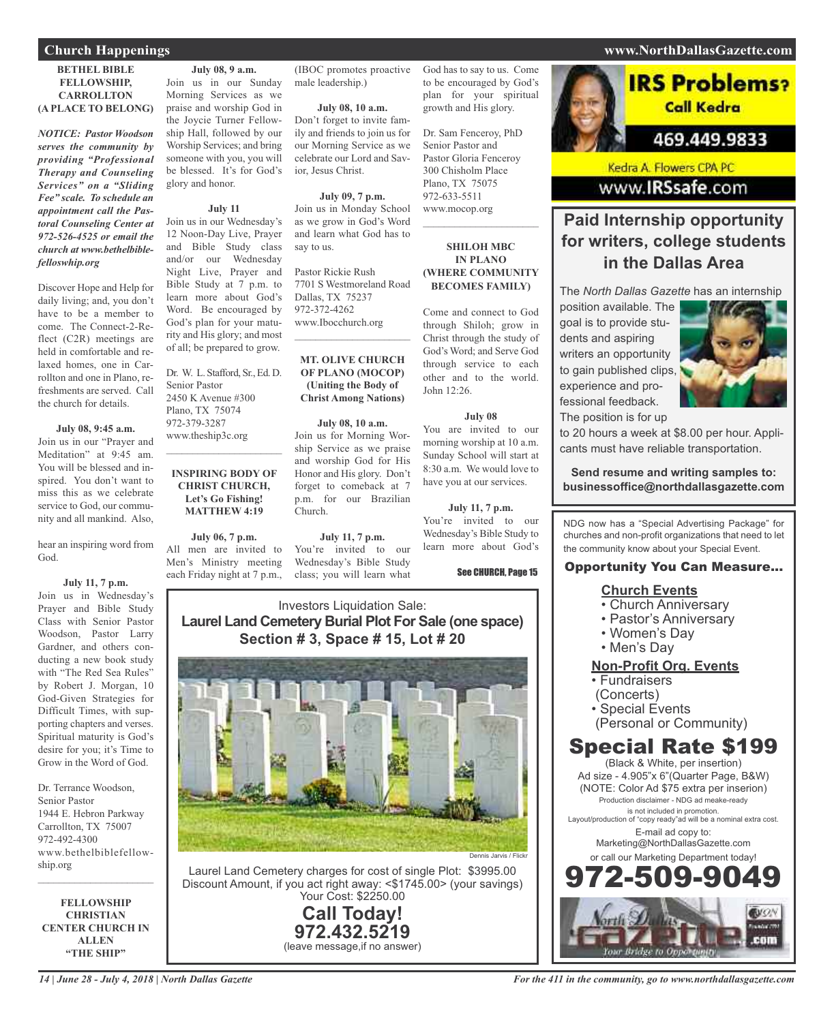### **Church Happenings www.NorthDallasGazette.com**

### **BETHEL BIBLE FELLOWSHIP, CARROLLTON (A PLACE TO BELONG)**

*NOTICE: Pastor Woodson serves the community by providing "Professional Therapy and Counseling Services" on a "Sliding Fee" scale. To schedule an appointment call the Pastoral Counseling Center at 972-526-4525 or email the church at www.bethelbiblefelloswhip.org*

Discover Hope and Help for daily living; and, you don't have to be a member to come. The Connect-2-Reflect (C2R) meetings are held in comfortable and relaxed homes, one in Carrollton and one in Plano, refreshments are served. Call the church for details.

### **July 08, 9:45 a.m.**

Join us in our "Prayer and Meditation" at 9:45 am. You will be blessed and inspired. You don't want to miss this as we celebrate service to God, our community and all mankind. Also,

hear an inspiring word from God.

**July 11, 7 p.m.** Join us in Wednesday's Prayer and Bible Study Class with Senior Pastor Woodson, Pastor Larry Gardner, and others conducting a new book study with "The Red Sea Rules" by Robert J. Morgan, 10 God-Given Strategies for Difficult Times, with supporting chapters and verses. Spiritual maturity is God's desire for you; it's Time to Grow in the Word of God.

Dr. Terrance Woodson, Senior Pastor 1944 E. Hebron Parkway Carrollton, TX 75007 972-492-4300 www.bethelbiblefellowship.org

**FELLOWSHIP CHRISTIAN CENTER CHURCH IN ALLEN "THE SHIP"**

 $\mathcal{L}_\text{max}$  , which is a set of the set of the set of the set of the set of the set of the set of the set of the set of the set of the set of the set of the set of the set of the set of the set of the set of the set of

**July 08, 9 a.m.** Join us in our Sunday Morning Services as we praise and worship God in the Joycie Turner Fellowship Hall, followed by our Worship Services; and bring someone with you, you will be blessed. It's for God's glory and honor.

**July 11**

Join us in our Wednesday's 12 Noon-Day Live, Prayer and Bible Study class and/or our Wednesday Night Live, Prayer and Bible Study at 7 p.m. to learn more about God's Word. Be encouraged by God's plan for your maturity and His glory; and most of all; be prepared to grow.

Dr. W. L. Stafford, Sr., Ed. D. Senior Pastor 2450 K Avenue #300 Plano, TX 75074 972-379-3287 www.theship3c.org  $\overline{\phantom{a}}$  , and the set of the set of the set of the set of the set of the set of the set of the set of the set of the set of the set of the set of the set of the set of the set of the set of the set of the set of the s

### **INSPIRING BODY OF CHRIST CHURCH, Let's Go Fishing! MATTHEW 4:19**

**July 06, 7 p.m.** All men are invited to Men's Ministry meeting each Friday night at 7 p.m., (IBOC promotes proactive male leadership.)

**July 08, 10 a.m.** Don't forget to invite family and friends to join us for our Morning Service as we celebrate our Lord and Savior, Jesus Christ.

**July 09, 7 p.m.** Join us in Monday School as we grow in God's Word and learn what God has to say to us.

Pastor Rickie Rush 7701 S Westmoreland Road Dallas, TX 75237 972-372-4262 www.Ibocchurch.org

### **MT. OLIVE CHURCH OF PLANO (MOCOP) (Uniting the Body of Christ Among Nations)**

 $\mathcal{L}$  , and the set of the set of the set of the set of the set of the set of the set of the set of the set of the set of the set of the set of the set of the set of the set of the set of the set of the set of the set

**July 08, 10 a.m.** Join us for Morning Worship Service as we praise and worship God for His Honor and His glory. Don't forget to comeback at 7 p.m. for our Brazilian Church.

**July 11, 7 p.m.** You're invited to our Wednesday's Bible Study class; you will learn what God has to say to us. Come to be encouraged by God's plan for your spiritual growth and His glory.

Dr. Sam Fenceroy, PhD Senior Pastor and Pastor Gloria Fenceroy 300 Chisholm Place Plano, TX 75075 972-633-5511 www.mocop.org

### **SHILOH MBC IN PLANO (WHERE COMMUNITY BECOMES FAMILY)**

 $\mathcal{L}_\text{max}$  , which is a set of the set of the set of the set of the set of the set of the set of the set of the set of the set of the set of the set of the set of the set of the set of the set of the set of the set of

Come and connect to God through Shiloh; grow in Christ through the study of God's Word; and Serve God through service to each other and to the world. John 12:26.

### **July 08**

You are invited to our morning worship at 10 a.m. Sunday School will start at 8:30 a.m. We would love to have you at our services.

**July 11, 7 p.m.**

You're invited to our Wednesday's Bible Study to learn more about God's

See CHURCH, Page 15

### Investors Liquidation Sale: **Laurel Land Cemetery Burial Plot For Sale (one space) Section # 3, Space # 15, Lot # 20**



Laurel Land Cemetery charges for cost of single Plot: \$3995.00 Discount Amount, if you act right away: <\$1745.00> (your savings) Your Cost: \$2250.00

> **Call Today! 972.432.5219** (leave message,if no answer)



Kedra A. Flowers CPA PC www.IRSsafe.com

## **Paid Internship opportunity for writers, college students in the Dallas Area**

The *North Dallas Gazette* has an internship

position available. The goal is to provide students and aspiring writers an opportunity to gain published clips, experience and professional feedback. The position is for up



to 20 hours a week at \$8.00 per hour. Applicants must have reliable transportation.

**Send resume and writing samples to: businessoffice@northdallasgazette.com**

NDG now has a "Special Advertising Package" for churches and non-profit organizations that need to let the community know about your Special Event.

### Opportunity You Can Measure...

### **Church Events**

- Church Anniversary
- Pastor's Anniversary
- Women's Day
- Men's Day

### **Non-Profit Org. Events**

- Fundraisers
- (Concerts)
- Special Events
- (Personal or Community)

## Special Rate \$199

(Black & White, per insertion) Ad size - 4.905"x 6"(Quarter Page, B&W) (NOTE: Color Ad \$75 extra per inserion) Production disclaimer - NDG ad meake-ready is not included in promotion. Layout/production of "copy ready"ad will be a nominal extra cost. E-mail ad copy to: Marketing@NorthDallasGazette.com or call our Marketing Department today! 972-509-9049

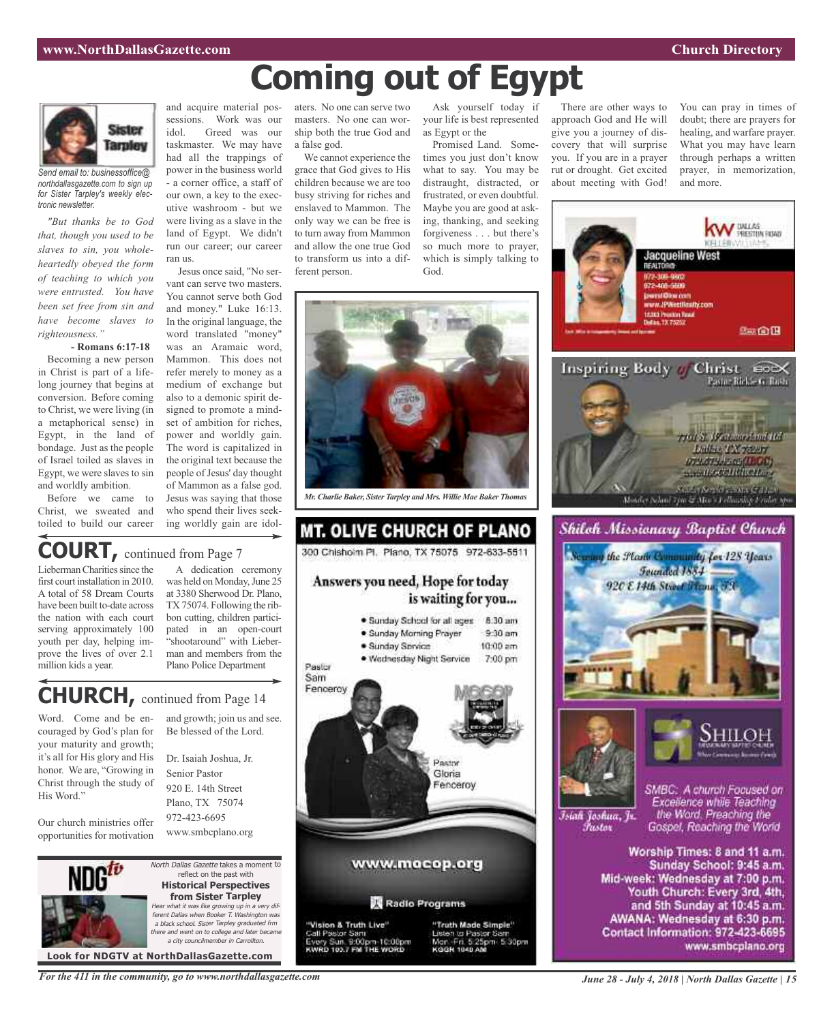

*Send email to: businessoffice@ northdallasgazette.com to sign up for Sister Tarpley's weekly electronic newsletter.*

*"But thanks be to God that, though you used to be slaves to sin, you wholeheartedly obeyed the form of teaching to which you were entrusted. You have been set free from sin and have become slaves to righteousness."*

**- Romans 6:17-18** Becoming a new person in Christ is part of a lifelong journey that begins at conversion. Before coming to Christ, we were living (in a metaphorical sense) in Egypt, in the land of bondage. Just as the people of Israel toiled as slaves in Egypt, we were slaves to sin and worldly ambition.

Before we came to Christ, we sweated and toiled to build our career

and acquire material possessions. Work was our idol. Greed was our taskmaster. We may have had all the trappings of power in the business world - a corner office, a staff of our own, a key to the executive washroom - but we were living as a slave in the land of Egypt. We didn't run our career; our career ran us.

Jesus once said, "No servant can serve two masters. You cannot serve both God and money." Luke 16:13. In the original language, the word translated "money" was an Aramaic word, Mammon. This does not refer merely to money as a medium of exchange but also to a demonic spirit designed to promote a mindset of ambition for riches, power and worldly gain. The word is capitalized in the original text because the people of Jesus' day thought of Mammon as a false god. Jesus was saying that those who spend their lives seeking worldly gain are idol-

### aters. No one can serve two masters. No one can worship both the true God and a false god.

We cannot experience the grace that God gives to His children because we are too busy striving for riches and enslaved to Mammon. The only way we can be free is to turn away from Mammon and allow the one true God to transform us into a different person.

Ask yourself today if your life is best represented as Egypt or the

Promised Land. Sometimes you just don't know what to say. You may be distraught, distracted, or frustrated, or even doubtful. Maybe you are good at asking, thanking, and seeking forgiveness . . . but there's so much more to prayer, which is simply talking to God.



**Coming out of Egypt**

*Mr. Charlie Baker, Sister Tarpley and Mrs. Willie Mae Baker Thomas*

**MT. OLIVE CHURCH OF PLANO** 

300 Chisholm Pl. Plano, TX 75075 972-633-5511

## **COURT,** continued from Page <sup>7</sup>

Lieberman Charities since the first court installation in 2010. A total of 58 Dream Courts have been built to-date across the nation with each court serving approximately 100 youth per day, helping improve the lives of over 2.1 million kids a year.

A dedication ceremony was held on Monday, June 25 at 3380 Sherwood Dr. Plano, TX 75074. Following the ribbon cutting, children participated in an open-court "shootaround" with Lieberman and members from the Plano Police Department

and growth; join us and see. Be blessed of the Lord.

Dr. Isaiah Joshua, Jr. Senior Pastor 920 E. 14th Street Plano, TX 75074 972-423-6695 www.smbcplano.org

## **CHURCH,** continued from Page <sup>14</sup>

Word. Come and be encouraged by God's plan for your maturity and growth; it's all for His glory and His honor. We are, "Growing in Christ through the study of His Word."

Our church ministries offer opportunities for motivation



North Dallas Gazette takes a moment to reflect on the past with **Historical Perspectives from Sister Tarpley** Hear what it was like growing up in <sup>a</sup> very different Dallas when Booker T. Washington was <sup>a</sup> black school. Sister Tarpley graduated frm there and went on to college and later became a city councilmember in Carrol.

**Look for NDGTV at NorthDallasGazette.com**

Answers you need, Hope for today is waiting for you... · Sunday School for all ages 8:30 am · Sunday Morning Prayer  $9.30$  am · Sunday Service  $10:00$  am · Wednesday Night Service 7:00 pm Pastor Sam Fencercy





There are other ways to approach God and He will give you a journey of discovery that will surprise you. If you are in a prayer rut or drought. Get excited about meeting with God! You can pray in times of doubt; there are prayers for healing, and warfare prayer. What you may have learn through perhaps a written prayer, in memorization, and more.



www.smbcplano.org

*For the 411 in the community, go to www.northdallasgazette.com*